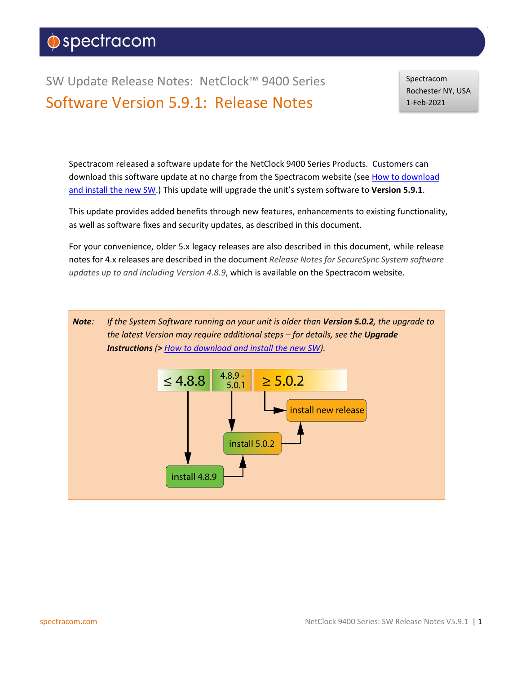# $\Diamond$ spectracom

SW Update Release Notes: NetClock™ 9400 Series Software Version 5.9.1: Release Notes

Spectracom Rochester NY, USA 1-Feb-2021

Spectracom released a software update for the NetClock 9400 Series Products. Customers can download this software update at no charge from the Spectracom website (see [How to download](#page-62-0)  [and install the new SW.\)](#page-62-0) This update will upgrade the unit's system software to **Version 5.9.1**.

This update provides added benefits through new features, enhancements to existing functionality, as well as software fixes and security updates, as described in this document.

For your convenience, older 5.x legacy releases are also described in this document, while release notes for 4.x releases are described in the document *Release Notes for SecureSync System software updates up to and including Version 4.8.9*, which is available on the Spectracom website.

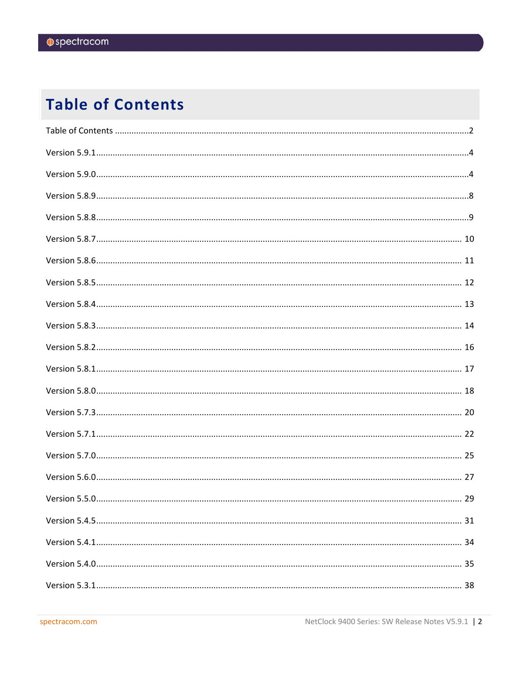# <span id="page-1-0"></span>**Table of Contents**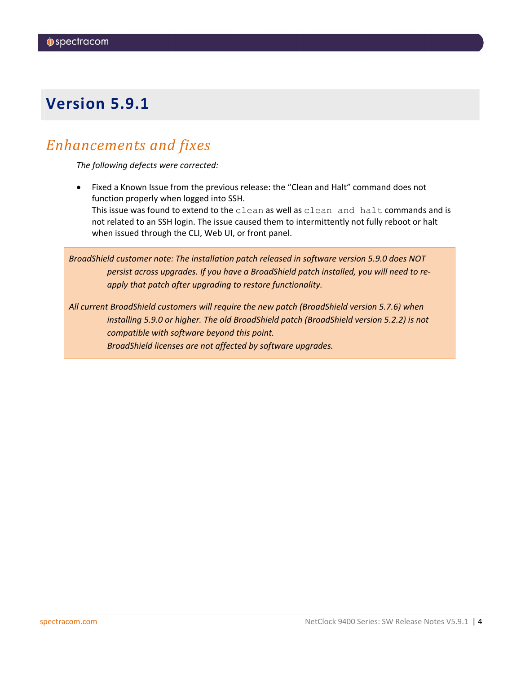# <span id="page-3-0"></span>*Enhancements and fixes*

*The following defects were corrected:*

<span id="page-3-1"></span>• Fixed a Known Issue from the previous release: the "Clean and Halt" command does not function properly when logged into SSH. This issue was found to extend to the clean as well as clean and halt commands and is not related to an SSH login. The issue caused them to intermittently not fully reboot or halt when issued through the CLI, Web UI, or front panel.

*BroadShield customer note: The installation patch released in software version 5.9.0 does NOT persist across upgrades. If you have a BroadShield patch installed, you will need to reapply that patch after upgrading to restore functionality.*

*All current BroadShield customers will require the new patch (BroadShield version 5.7.6) when installing 5.9.0 or higher. The old BroadShield patch (BroadShield version 5.2.2) is not compatible with software beyond this point. BroadShield licenses are not affected by software upgrades.*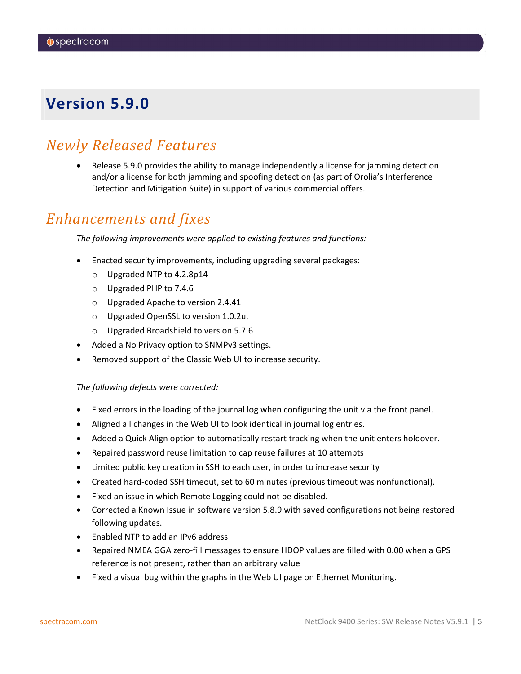# *Newly Released Features*

• Release 5.9.0 provides the ability to manage independently a license for jamming detection and/or a license for both jamming and spoofing detection (as part of Orolia's Interference Detection and Mitigation Suite) in support of various commercial offers.

## *Enhancements and fixes*

*The following improvements were applied to existing features and functions:*

- Enacted security improvements, including upgrading several packages:
	- o Upgraded NTP to 4.2.8p14
	- o Upgraded PHP to 7.4.6
	- o Upgraded Apache to version 2.4.41
	- o Upgraded OpenSSL to version 1.0.2u.
	- o Upgraded Broadshield to version 5.7.6
- Added a No Privacy option to SNMPv3 settings.
- Removed support of the Classic Web UI to increase security.

### *The following defects were corrected:*

- Fixed errors in the loading of the journal log when configuring the unit via the front panel.
- Aligned all changes in the Web UI to look identical in journal log entries.
- Added a Quick Align option to automatically restart tracking when the unit enters holdover.
- Repaired password reuse limitation to cap reuse failures at 10 attempts
- Limited public key creation in SSH to each user, in order to increase security
- Created hard-coded SSH timeout, set to 60 minutes (previous timeout was nonfunctional).
- Fixed an issue in which Remote Logging could not be disabled.
- Corrected a Known Issue in software version 5.8.9 with saved configurations not being restored following updates.
- Enabled NTP to add an IPv6 address
- Repaired NMEA GGA zero-fill messages to ensure HDOP values are filled with 0.00 when a GPS reference is not present, rather than an arbitrary value
- Fixed a visual bug within the graphs in the Web UI page on Ethernet Monitoring.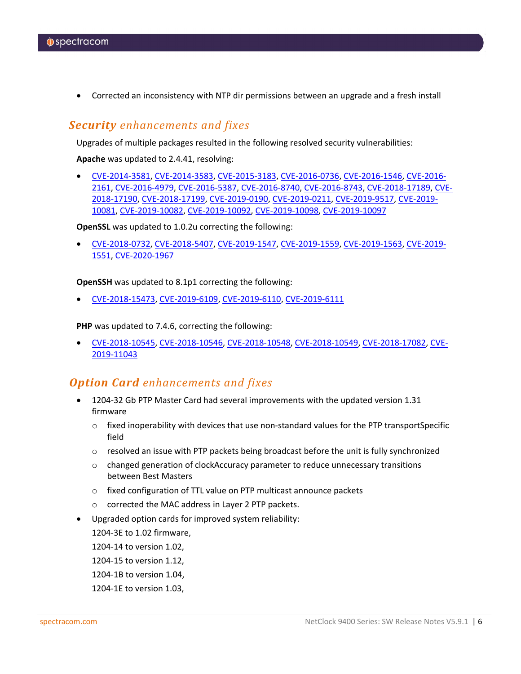• Corrected an inconsistency with NTP dir permissions between an upgrade and a fresh install

### *Security enhancements and fixes*

Upgrades of multiple packages resulted in the following resolved security vulnerabilities:

**Apache** was updated to 2.4.41, resolving:

• [CVE-2014-3581,](https://nvd.nist.gov/vuln/detail/CVE-2014-3581) [CVE-2014-3583,](https://nvd.nist.gov/vuln/detail/CVE-2014-3583) [CVE-2015-3183,](https://nvd.nist.gov/vuln/detail/CVE-2015-3183) [CVE-2016-0736,](https://nvd.nist.gov/vuln/detail/CVE-2016-0736) [CVE-2016-1546,](https://nvd.nist.gov/vuln/detail/CVE-2016-1546) [CVE-2016-](https://nvd.nist.gov/vuln/detail/CVE-2016-2161) [2161,](https://nvd.nist.gov/vuln/detail/CVE-2016-2161) [CVE-2016-4979,](https://nvd.nist.gov/vuln/detail/CVE-2016-4979) [CVE-2016-5387,](https://nvd.nist.gov/vuln/detail/CVE-2016-5387) [CVE-2016-8740,](https://nvd.nist.gov/vuln/detail/CVE-2016-8740) [CVE-2016-8743,](https://nvd.nist.gov/vuln/detail/CVE-2016-8743) [CVE-2018-17189,](https://nvd.nist.gov/vuln/detail/CVE-2018-17189) [CVE-](https://nvd.nist.gov/vuln/detail/CVE-2018-17190)[2018-17190,](https://nvd.nist.gov/vuln/detail/CVE-2018-17190) [CVE-2018-17199,](https://nvd.nist.gov/vuln/detail/CVE-2018-17199) [CVE-2019-0190,](https://nvd.nist.gov/vuln/detail/CVE-2019-0190) [CVE-2019-0211,](https://nvd.nist.gov/vuln/detail/CVE-2019-0211) [CVE-2019-9517,](https://nvd.nist.gov/vuln/detail/CVE-2019-9517) [CVE-2019-](https://nvd.nist.gov/vuln/detail/CVE-2019-10081) [10081,](https://nvd.nist.gov/vuln/detail/CVE-2019-10081) [CVE-2019-10082,](https://nvd.nist.gov/vuln/detail/CVE-2019-10082) [CVE-2019-10092,](https://nvd.nist.gov/vuln/detail/CVE-2019-10092) [CVE-2019-10098,](https://nvd.nist.gov/vuln/detail/CVE-2019-10098) [CVE-2019-10097](https://nvd.nist.gov/vuln/detail/CVE-2019-10097)

**OpenSSL** was updated to 1.0.2u correcting the following:

• [CVE-2018-0732,](https://nvd.nist.gov/vuln/detail/CVE-2018-0732) [CVE-2018-5407,](https://nvd.nist.gov/vuln/detail/CVE-2018-5407) [CVE-2019-1547,](https://nvd.nist.gov/vuln/detail/CVE-2019-1547) [CVE-2019-1559,](https://nvd.nist.gov/vuln/detail/CVE-2019-1559) [CVE-2019-1563,](https://nvd.nist.gov/vuln/detail/CVE-2019-1563) [CVE-2019-](https://nvd.nist.gov/vuln/detail/CVE-2019-1551) [1551,](https://nvd.nist.gov/vuln/detail/CVE-2019-1551) [CVE-2020-1967](https://nvd.nist.gov/vuln/detail/CVE-2020-1967)

**OpenSSH** was updated to 8.1p1 correcting the following:

• [CVE-2018-15473,](https://nvd.nist.gov/vuln/detail/CVE-2018-15473) [CVE-2019-6109,](https://nvd.nist.gov/vuln/detail/CVE-2019-6109) [CVE-2019-6110,](https://nvd.nist.gov/vuln/detail/CVE-2019-6110) [CVE-2019-6111](https://nvd.nist.gov/vuln/detail/CVE-2019-6111)

**PHP** was updated to 7.4.6, correcting the following:

• [CVE-2018-10545,](https://nvd.nist.gov/vuln/detail/CVE-2018-10545) [CVE-2018-10546,](https://nvd.nist.gov/vuln/detail/CVE-2018-10546) [CVE-2018-10548,](https://nvd.nist.gov/vuln/detail/CVE-2018-10548) [CVE-2018-10549,](https://nvd.nist.gov/vuln/detail/CVE-2018-10549) [CVE-2018-17082,](https://nvd.nist.gov/vuln/detail/CVE-2018-17082) [CVE-](https://nvd.nist.gov/vuln/detail/CVE-2019-11043)[2019-11043](https://nvd.nist.gov/vuln/detail/CVE-2019-11043)

### *Option Card enhancements and fixes*

- 1204-32 Gb PTP Master Card had several improvements with the updated version 1.31 firmware
	- $\circ$  fixed inoperability with devices that use non-standard values for the PTP transportSpecific field
	- $\circ$  resolved an issue with PTP packets being broadcast before the unit is fully synchronized
	- $\circ$  changed generation of clockAccuracy parameter to reduce unnecessary transitions between Best Masters
	- o fixed configuration of TTL value on PTP multicast announce packets
	- o corrected the MAC address in Layer 2 PTP packets.
- Upgraded option cards for improved system reliability:

1204-3E to 1.02 firmware,

1204-14 to version 1.02,

1204-15 to version 1.12,

- 1204-1B to version 1.04,
- 1204-1E to version 1.03,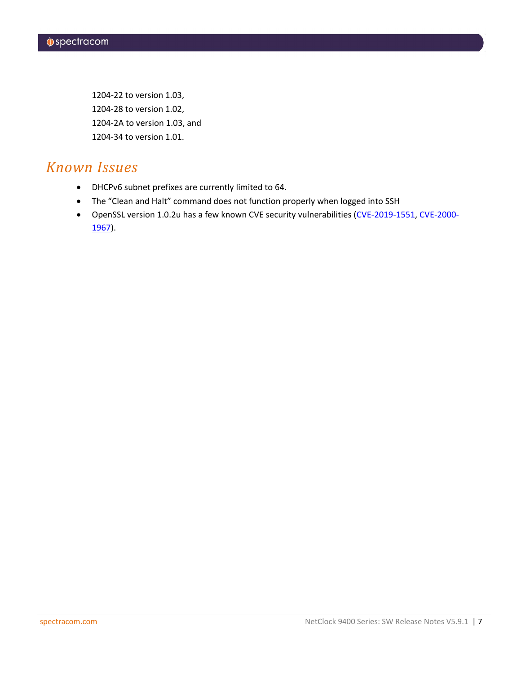1204-22 to version 1.03, 1204-28 to version 1.02, 1204-2A to version 1.03, and 1204-34 to version 1.01.

# *Known Issues*

- DHCPv6 subnet prefixes are currently limited to 64.
- The "Clean and Halt" command does not function properly when logged into SSH
- OpenSSL version 1.0.2u has a few known CVE security vulnerabilities [\(CVE-2019-1551,](https://nvd.nist.gov/vuln/detail/CVE-2019-1551) [CVE-2000-](https://nvd.nist.gov/vuln/detail/CVE-2000-1175) [1967\)](https://nvd.nist.gov/vuln/detail/CVE-2000-1175).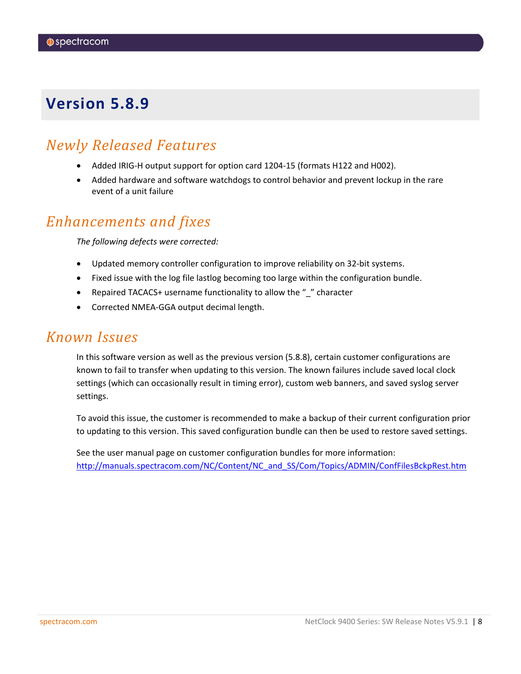# <span id="page-7-0"></span>*Newly Released Features*

- Added IRIG-H output support for option card 1204-15 (formats H122 and H002).
- Added hardware and software watchdogs to control behavior and prevent lockup in the rare event of a unit failure

## *Enhancements and fixes*

*The following defects were corrected:*

- Updated memory controller configuration to improve reliability on 32-bit systems.
- Fixed issue with the log file lastlog becoming too large within the configuration bundle.
- Repaired TACACS+ username functionality to allow the " " character
- Corrected NMEA-GGA output decimal length.

## *Known Issues*

In this software version as well as the previous version (5.8.8), certain customer configurations are known to fail to transfer when updating to this version. The known failures include saved local clock settings (which can occasionally result in timing error), custom web banners, and saved syslog server settings.

To avoid this issue, the customer is recommended to make a backup of their current configuration prior to updating to this version. This saved configuration bundle can then be used to restore saved settings.

See the user manual page on customer configuration bundles for more information: [http://manuals.spectracom.com/NC/Content/NC\\_and\\_SS/Com/Topics/ADMIN/ConfFilesBckpRest.htm](http://manuals.spectracom.com/NC/Content/NC_and_SS/Com/Topics/ADMIN/ConfFilesBckpRest.htm)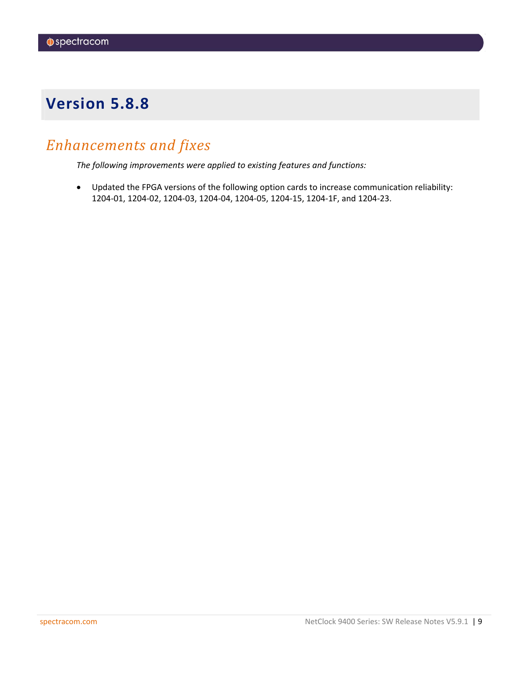# <span id="page-8-0"></span>*Enhancements and fixes*

*The following improvements were applied to existing features and functions:*

• Updated the FPGA versions of the following option cards to increase communication reliability: 1204-01, 1204-02, 1204-03, 1204-04, 1204-05, 1204-15, 1204-1F, and 1204-23.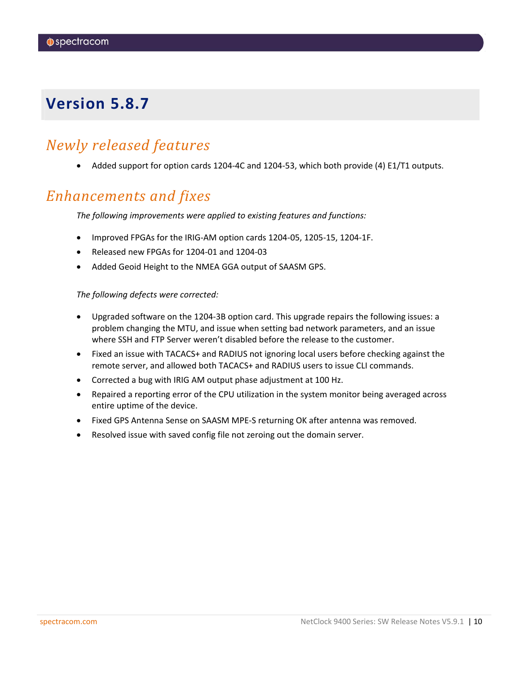# <span id="page-9-0"></span>*Newly released features*

• Added support for option cards 1204-4C and 1204-53, which both provide (4) E1/T1 outputs.

# *Enhancements and fixes*

*The following improvements were applied to existing features and functions:*

- Improved FPGAs for the IRIG-AM option cards 1204-05, 1205-15, 1204-1F.
- Released new FPGAs for 1204-01 and 1204-03
- Added Geoid Height to the NMEA GGA output of SAASM GPS.

### *The following defects were corrected:*

- Upgraded software on the 1204-3B option card. This upgrade repairs the following issues: a problem changing the MTU, and issue when setting bad network parameters, and an issue where SSH and FTP Server weren't disabled before the release to the customer.
- Fixed an issue with TACACS+ and RADIUS not ignoring local users before checking against the remote server, and allowed both TACACS+ and RADIUS users to issue CLI commands.
- Corrected a bug with IRIG AM output phase adjustment at 100 Hz.
- Repaired a reporting error of the CPU utilization in the system monitor being averaged across entire uptime of the device.
- Fixed GPS Antenna Sense on SAASM MPE-S returning OK after antenna was removed.
- Resolved issue with saved config file not zeroing out the domain server.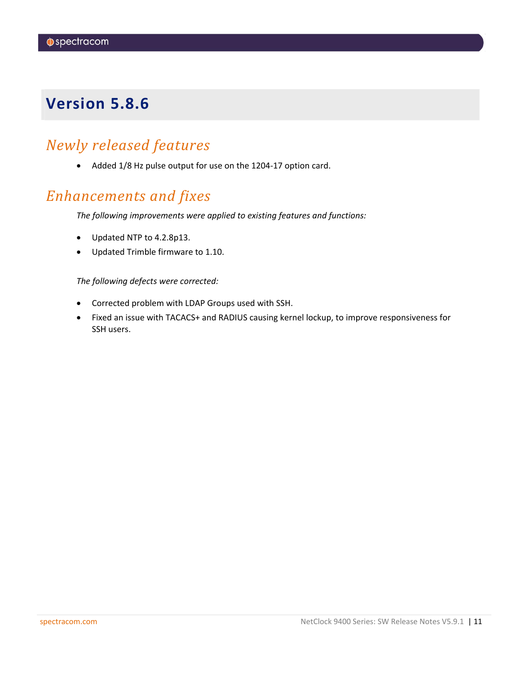# <span id="page-10-0"></span>*Newly released features*

• Added 1/8 Hz pulse output for use on the 1204-17 option card.

# *Enhancements and fixes*

*The following improvements were applied to existing features and functions:*

- Updated NTP to 4.2.8p13.
- Updated Trimble firmware to 1.10.

### *The following defects were corrected:*

- Corrected problem with LDAP Groups used with SSH.
- Fixed an issue with TACACS+ and RADIUS causing kernel lockup, to improve responsiveness for SSH users.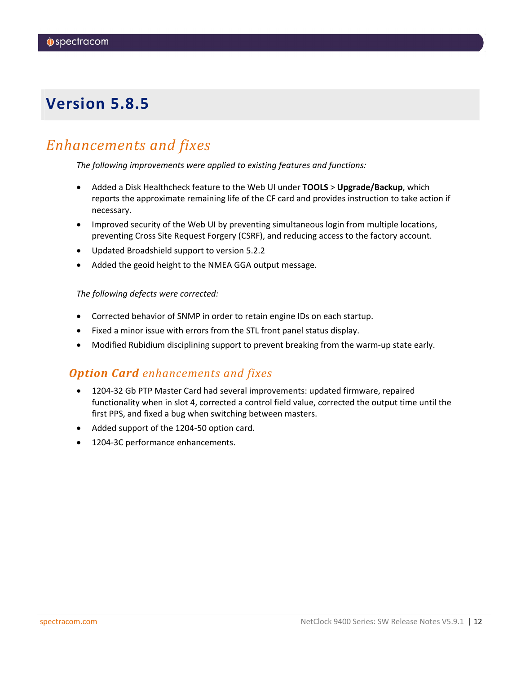# <span id="page-11-0"></span>*Enhancements and fixes*

*The following improvements were applied to existing features and functions:*

- Added a Disk Healthcheck feature to the Web UI under **TOOLS** > **Upgrade/Backup**, which reports the approximate remaining life of the CF card and provides instruction to take action if necessary.
- Improved security of the Web UI by preventing simultaneous login from multiple locations, preventing Cross Site Request Forgery (CSRF), and reducing access to the factory account.
- Updated Broadshield support to version 5.2.2
- Added the geoid height to the NMEA GGA output message.

### *The following defects were corrected:*

- Corrected behavior of SNMP in order to retain engine IDs on each startup.
- Fixed a minor issue with errors from the STL front panel status display.
- Modified Rubidium disciplining support to prevent breaking from the warm-up state early.

### *Option Card enhancements and fixes*

- 1204-32 Gb PTP Master Card had several improvements: updated firmware, repaired functionality when in slot 4, corrected a control field value, corrected the output time until the first PPS, and fixed a bug when switching between masters.
- Added support of the 1204-50 option card.
- 1204-3C performance enhancements.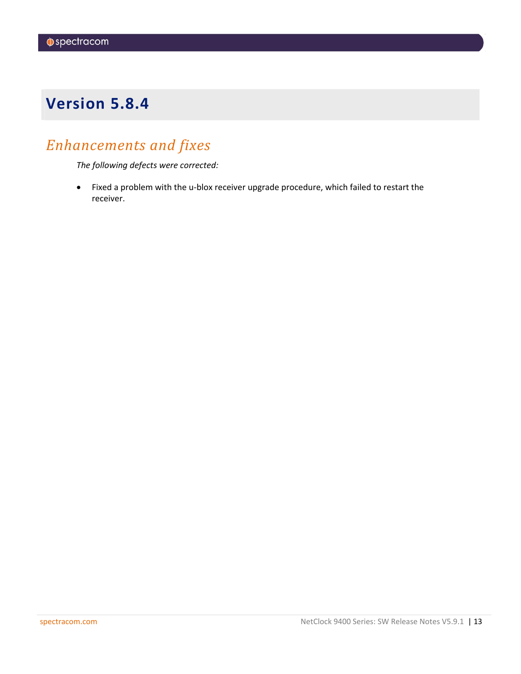# <span id="page-12-0"></span>*Enhancements and fixes*

*The following defects were corrected:*

• Fixed a problem with the u-blox receiver upgrade procedure, which failed to restart the receiver.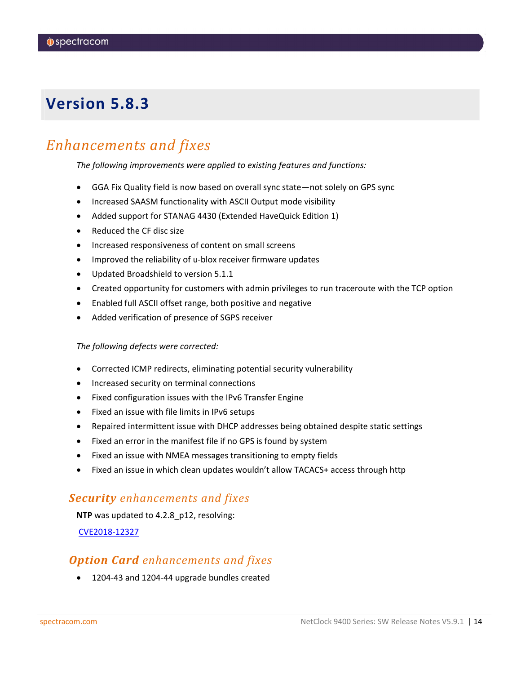# <span id="page-13-0"></span>*Enhancements and fixes*

*The following improvements were applied to existing features and functions:*

- GGA Fix Quality field is now based on overall sync state—not solely on GPS sync
- Increased SAASM functionality with ASCII Output mode visibility
- Added support for STANAG 4430 (Extended HaveQuick Edition 1)
- Reduced the CF disc size
- Increased responsiveness of content on small screens
- Improved the reliability of u-blox receiver firmware updates
- Updated Broadshield to version 5.1.1
- Created opportunity for customers with admin privileges to run traceroute with the TCP option
- Enabled full ASCII offset range, both positive and negative
- Added verification of presence of SGPS receiver

#### *The following defects were corrected:*

- Corrected ICMP redirects, eliminating potential security vulnerability
- Increased security on terminal connections
- Fixed configuration issues with the IPv6 Transfer Engine
- Fixed an issue with file limits in IPv6 setups
- Repaired intermittent issue with DHCP addresses being obtained despite static settings
- Fixed an error in the manifest file if no GPS is found by system
- Fixed an issue with NMEA messages transitioning to empty fields
- Fixed an issue in which clean updates wouldn't allow TACACS+ access through http

### *Security enhancements and fixes*

**NTP** was updated to 4.2.8\_p12, resolving:

[CVE2018-12327](https://nvd.nist.gov/vuln/detail/CVE-2018-12327)

### *Option Card enhancements and fixes*

• 1204-43 and 1204-44 upgrade bundles created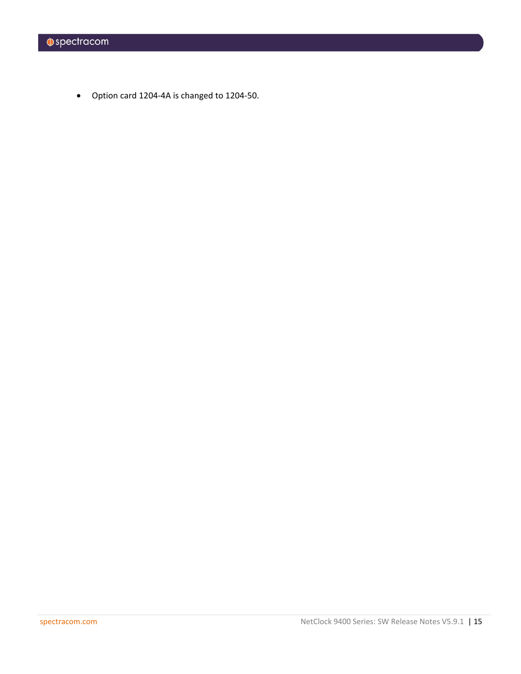• Option card 1204-4A is changed to 1204-50.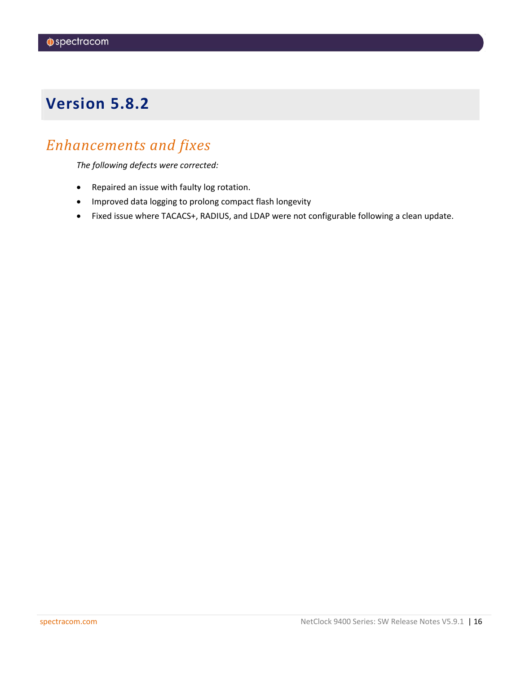# <span id="page-15-0"></span>*Enhancements and fixes*

*The following defects were corrected:*

- Repaired an issue with faulty log rotation.
- Improved data logging to prolong compact flash longevity
- Fixed issue where TACACS+, RADIUS, and LDAP were not configurable following a clean update.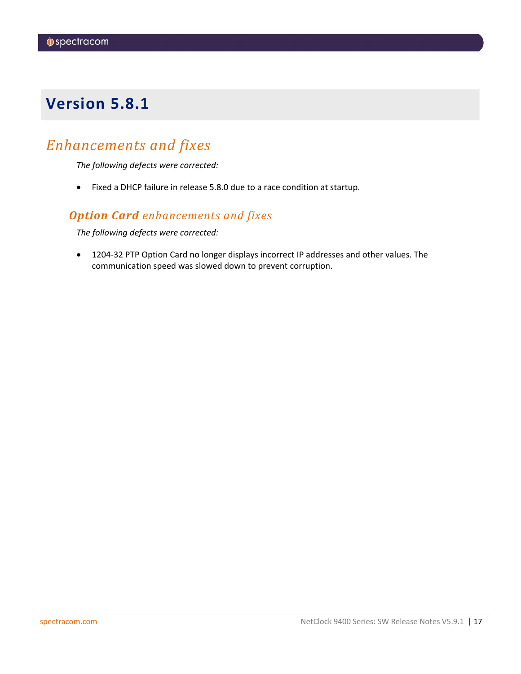# <span id="page-16-0"></span>*Enhancements and fixes*

*The following defects were corrected:*

• Fixed a DHCP failure in release 5.8.0 due to a race condition at startup.

### *Option Card enhancements and fixes*

*The following defects were corrected:*

• 1204-32 PTP Option Card no longer displays incorrect IP addresses and other values. The communication speed was slowed down to prevent corruption.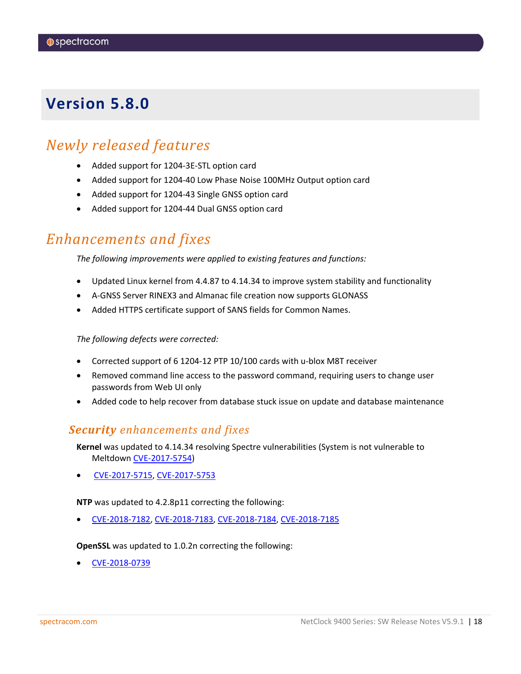# <span id="page-17-0"></span>*Newly released features*

- Added support for 1204-3E-STL option card
- Added support for 1204-40 Low Phase Noise 100MHz Output option card
- Added support for 1204-43 Single GNSS option card
- Added support for 1204-44 Dual GNSS option card

# *Enhancements and fixes*

*The following improvements were applied to existing features and functions:*

- Updated Linux kernel from 4.4.87 to 4.14.34 to improve system stability and functionality
- A-GNSS Server RINEX3 and Almanac file creation now supports GLONASS
- Added HTTPS certificate support of SANS fields for Common Names.

*The following defects were corrected:*

- Corrected support of 6 1204-12 PTP 10/100 cards with u-blox M8T receiver
- Removed command line access to the password command, requiring users to change user passwords from Web UI only
- Added code to help recover from database stuck issue on update and database maintenance

### *Security enhancements and fixes*

**Kernel** was updated to 4.14.34 resolving Spectre vulnerabilities (System is not vulnerable to Meltdown [CVE-2017-5754\)](https://nvd.nist.gov/vuln/detail/CVE-2017-5754)

• [CVE-2017-5715,](https://nvd.nist.gov/vuln/detail/CVE-2017-5715) [CVE-2017-5753](https://nvd.nist.gov/vuln/detail/CVE-2017-5753)

**NTP** was updated to 4.2.8p11 correcting the following:

• [CVE-2018-7182,](http://nvd.nist.gov/nvd.cfm?cvename=CVE-2018-7182) [CVE-2018-7183,](http://nvd.nist.gov/nvd.cfm?cvename=CVE-2018-7183) [CVE-2018-7184,](http://nvd.nist.gov/nvd.cfm?cvename=CVE-2018-7184) [CVE-2018-7185](http://nvd.nist.gov/nvd.cfm?cvename=CVE-2018-7185)

**OpenSSL** was updated to 1.0.2n correcting the following:

• [CVE-2018-0739](http://nvd.nist.gov/nvd.cfm?cvename=CVE-2018-0739)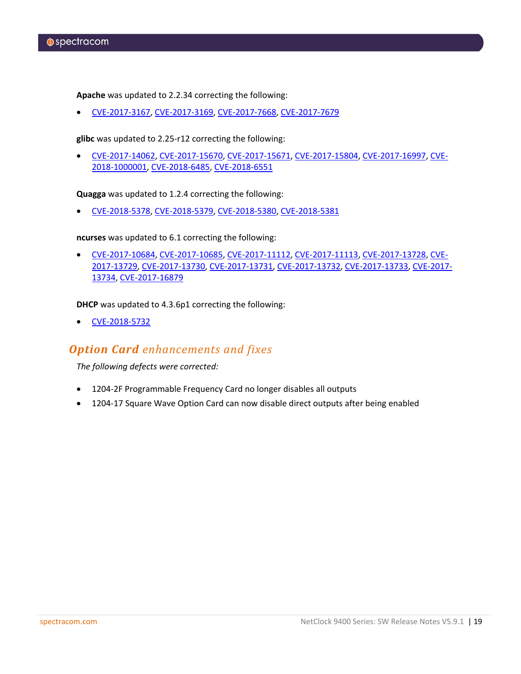**Apache** was updated to 2.2.34 correcting the following:

• [CVE-2017-3167,](http://nvd.nist.gov/nvd.cfm?cvename=CVE-2017-3167) [CVE-2017-3169,](http://nvd.nist.gov/nvd.cfm?cvename=CVE-2017-3169) [CVE-2017-7668,](http://nvd.nist.gov/nvd.cfm?cvename=CVE-2017-7668) [CVE-2017-7679](http://nvd.nist.gov/nvd.cfm?cvename=CVE-2017-7679)

**glibc** was updated to 2.25-r12 correcting the following:

• [CVE-2017-14062,](http://nvd.nist.gov/nvd.cfm?cvename=CVE-2017-14062) [CVE-2017-15670,](http://nvd.nist.gov/nvd.cfm?cvename=CVE-2017-15670) [CVE-2017-15671,](http://nvd.nist.gov/nvd.cfm?cvename=CVE-2017-15671) [CVE-2017-15804,](http://nvd.nist.gov/nvd.cfm?cvename=CVE-2017-15804) [CVE-2017-16997,](http://nvd.nist.gov/nvd.cfm?cvename=CVE-2017-16997) [CVE-](http://nvd.nist.gov/nvd.cfm?cvename=CVE-2018-1000001)[2018-1000001,](http://nvd.nist.gov/nvd.cfm?cvename=CVE-2018-1000001) [CVE-2018-6485,](http://nvd.nist.gov/nvd.cfm?cvename=CVE-2018-6485) [CVE-2018-6551](http://nvd.nist.gov/nvd.cfm?cvename=CVE-2018-6551)

**Quagga** was updated to 1.2.4 correcting the following:

• [CVE-2018-5378,](http://nvd.nist.gov/nvd.cfm?cvename=CVE-2018-5378) [CVE-2018-5379,](http://nvd.nist.gov/nvd.cfm?cvename=CVE-2018-5379) [CVE-2018-5380,](http://nvd.nist.gov/nvd.cfm?cvename=CVE-2018-5380) [CVE-2018-5381](http://nvd.nist.gov/nvd.cfm?cvename=CVE-2018-5381)

**ncurses** was updated to 6.1 correcting the following:

• [CVE-2017-10684,](http://nvd.nist.gov/nvd.cfm?cvename=CVE-2017-10684) [CVE-2017-10685,](http://nvd.nist.gov/nvd.cfm?cvename=CVE-2017-10685) [CVE-2017-11112,](http://nvd.nist.gov/nvd.cfm?cvename=CVE-2017-11112) [CVE-2017-11113,](http://nvd.nist.gov/nvd.cfm?cvename=CVE-2017-11113) [CVE-2017-13728,](http://nvd.nist.gov/nvd.cfm?cvename=CVE-2017-13728) [CVE-](http://nvd.nist.gov/nvd.cfm?cvename=CVE-2017-13729)[2017-13729,](http://nvd.nist.gov/nvd.cfm?cvename=CVE-2017-13729) [CVE-2017-13730,](http://nvd.nist.gov/nvd.cfm?cvename=CVE-2017-13730) [CVE-2017-13731,](http://nvd.nist.gov/nvd.cfm?cvename=CVE-2017-13731) [CVE-2017-13732,](http://nvd.nist.gov/nvd.cfm?cvename=CVE-2017-13732) [CVE-2017-13733,](http://nvd.nist.gov/nvd.cfm?cvename=CVE-2017-13733) [CVE-2017-](http://nvd.nist.gov/nvd.cfm?cvename=CVE-2017-13734) [13734,](http://nvd.nist.gov/nvd.cfm?cvename=CVE-2017-13734) [CVE-2017-16879](http://nvd.nist.gov/nvd.cfm?cvename=CVE-2017-16879)

**DHCP** was updated to 4.3.6p1 correcting the following:

• [CVE-2018-5732](http://nvd.nist.gov/nvd.cfm?cvename=CVE-2018-5732)

### *Option Card enhancements and fixes*

*The following defects were corrected:*

- 1204-2F Programmable Frequency Card no longer disables all outputs
- 1204-17 Square Wave Option Card can now disable direct outputs after being enabled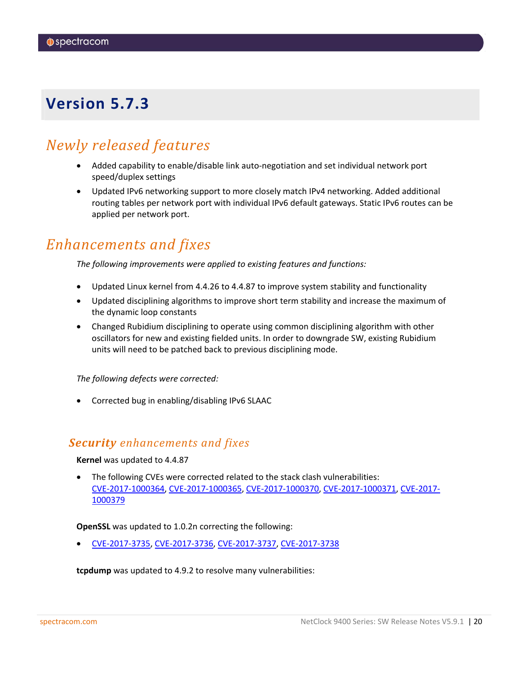# <span id="page-19-0"></span>*Newly released features*

- Added capability to enable/disable link auto-negotiation and set individual network port speed/duplex settings
- Updated IPv6 networking support to more closely match IPv4 networking. Added additional routing tables per network port with individual IPv6 default gateways. Static IPv6 routes can be applied per network port.

## *Enhancements and fixes*

*The following improvements were applied to existing features and functions:*

- Updated Linux kernel from 4.4.26 to 4.4.87 to improve system stability and functionality
- Updated disciplining algorithms to improve short term stability and increase the maximum of the dynamic loop constants
- Changed Rubidium disciplining to operate using common disciplining algorithm with other oscillators for new and existing fielded units. In order to downgrade SW, existing Rubidium units will need to be patched back to previous disciplining mode.

*The following defects were corrected:*

• Corrected bug in enabling/disabling IPv6 SLAAC

### *Security enhancements and fixes*

**Kernel** was updated to 4.4.87

• The following CVEs were corrected related to the stack clash vulnerabilities: [CVE-2017-1000364,](http://nvd.nist.gov/nvd.cfm?cvename=CVE-2017-1000364) [CVE-2017-1000365,](http://nvd.nist.gov/nvd.cfm?cvename=CVE-2017-1000365) [CVE-2017-1000370,](http://nvd.nist.gov/nvd.cfm?cvename=CVE-2017-1000370) [CVE-2017-1000371,](http://nvd.nist.gov/nvd.cfm?cvename=CVE-2017-1000371) [CVE-2017-](http://nvd.nist.gov/nvd.cfm?cvename=CVE-2017-1000379) [1000379](http://nvd.nist.gov/nvd.cfm?cvename=CVE-2017-1000379)

### **OpenSSL** was updated to 1.0.2n correcting the following:

• [CVE-2017-3735,](http://nvd.nist.gov/nvd.cfm?cvename=CVE-2017-3735) [CVE-2017-3736,](http://nvd.nist.gov/nvd.cfm?cvename=CVE-2017-3736) [CVE-2017-3737,](http://nvd.nist.gov/nvd.cfm?cvename=CVE-2017-3737) [CVE-2017-3738](http://nvd.nist.gov/nvd.cfm?cvename=CVE-2017-3738)

**tcpdump** was updated to 4.9.2 to resolve many vulnerabilities: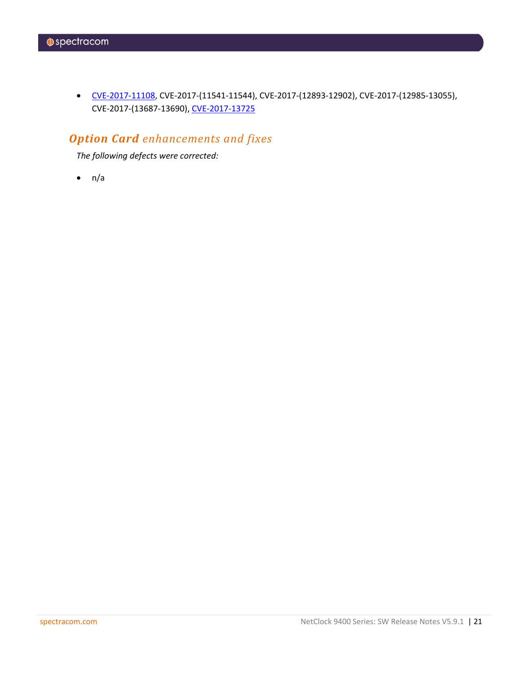• [CVE-2017-11108,](http://nvd.nist.gov/nvd.cfm?cvename=CVE-2017-11108) CVE-2017-(11541-11544), CVE-2017-(12893-12902), CVE-2017-(12985-13055), CVE-2017-(13687-13690)[, CVE-2017-13725](http://nvd.nist.gov/nvd.cfm?cvename=CVE-2017-13725)

## *Option Card enhancements and fixes*

*The following defects were corrected:*

 $\bullet$  n/a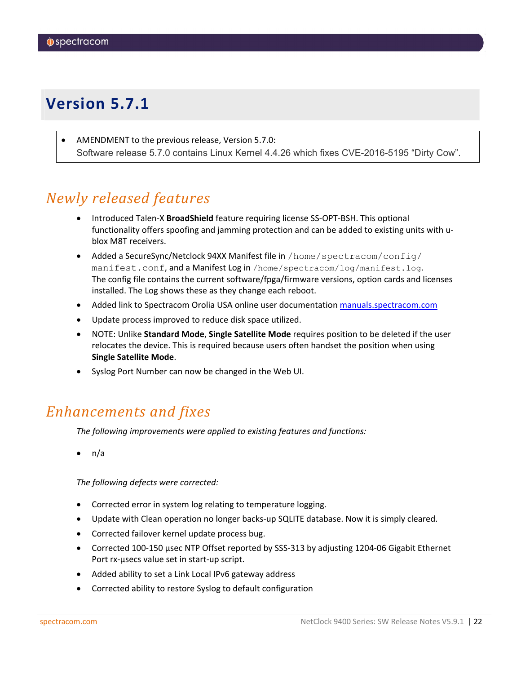<span id="page-21-0"></span>AMENDMENT to the previous release, Version 5.7.0: Software release 5.7.0 contains Linux Kernel 4.4.26 which fixes CVE-2016-5195 "Dirty Cow".

# *Newly released features*

- Introduced Talen-X **BroadShield** feature requiring license SS-OPT-BSH. This optional functionality offers spoofing and jamming protection and can be added to existing units with ublox M8T receivers.
- Added a SecureSync/Netclock 94XX Manifest file in /home/spectracom/config/ manifest.conf, and a Manifest Log in /home/spectracom/log/manifest.log. The config file contains the current software/fpga/firmware versions, option cards and licenses installed. The Log shows these as they change each reboot.
- Added link to Spectracom Orolia USA online user documentatio[n manuals.spectracom.com](http://manuals.spectracom.com/)
- Update process improved to reduce disk space utilized.
- NOTE: Unlike **Standard Mode**, **Single Satellite Mode** requires position to be deleted if the user relocates the device. This is required because users often handset the position when using **Single Satellite Mode**.
- Syslog Port Number can now be changed in the Web UI.

# *Enhancements and fixes*

*The following improvements were applied to existing features and functions:*

• n/a

*The following defects were corrected:*

- Corrected error in system log relating to temperature logging.
- Update with Clean operation no longer backs-up SQLITE database. Now it is simply cleared.
- Corrected failover kernel update process bug.
- Corrected 100-150 usec NTP Offset reported by SSS-313 by adjusting 1204-06 Gigabit Ethernet Port rx-µsecs value set in start-up script.
- Added ability to set a Link Local IPv6 gateway address
- Corrected ability to restore Syslog to default configuration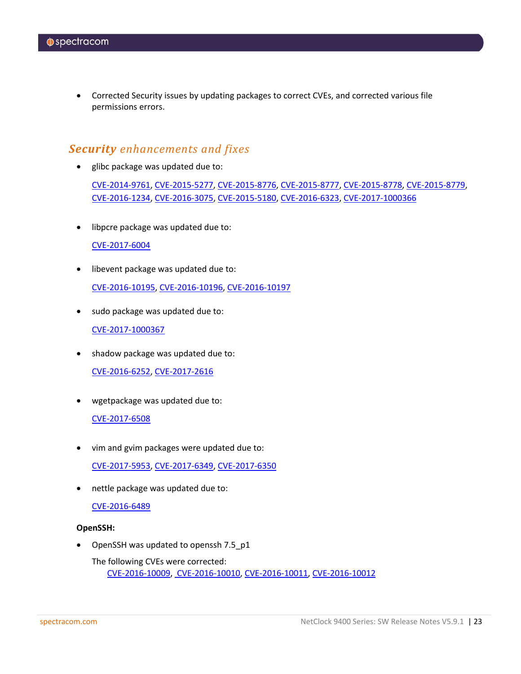• Corrected Security issues by updating packages to correct CVEs, and corrected various file permissions errors.

### *Security enhancements and fixes*

• glibc package was updated due to:

[CVE-2014-9761,](http://nvd.nist.gov/nvd.cfm?cvename=CVE-2014-9761) [CVE-2015-5277,](http://nvd.nist.gov/nvd.cfm?cvename=CVE-2015-5277) [CVE-2015-8776,](http://nvd.nist.gov/nvd.cfm?cvename=CVE-2015-8776) [CVE-2015-8777,](http://nvd.nist.gov/nvd.cfm?cvename=CVE-2015-8777) [CVE-2015-8778,](http://nvd.nist.gov/nvd.cfm?cvename=CVE-2015-8778) [CVE-2015-8779,](http://nvd.nist.gov/nvd.cfm?cvename=CVE-2015-8779) [CVE-2016-1234,](http://nvd.nist.gov/nvd.cfm?cvename=CVE-2016-1234) [CVE-2016-3075,](http://nvd.nist.gov/nvd.cfm?cvename=CVE-2016-3075) [CVE-2015-5180,](http://nvd.nist.gov/nvd.cfm?cvename=CVE-2015-5180) [CVE-2016-6323,](http://nvd.nist.gov/nvd.cfm?cvename=CVE-2016-6323) [CVE-2017-1000366](http://nvd.nist.gov/nvd.cfm?cvename=CVE-2017-1000366)

• libpcre package was updated due to:

### [CVE-2017-6004](http://nvd.nist.gov/nvd.cfm?cvename=CVE-2017-6004)

• libevent package was updated due to:

[CVE-2016-10195,](http://nvd.nist.gov/nvd.cfm?cvename=CVE-2016-10195) [CVE-2016-10196,](http://nvd.nist.gov/nvd.cfm?cvename=CVE-2016-10196) [CVE-2016-10197](http://nvd.nist.gov/nvd.cfm?cvename=CVE-2016-10197)

• sudo package was updated due to:

[CVE-2017-1000367](http://nvd.nist.gov/nvd.cfm?cvename=CVE-2017-1000367)

• shadow package was updated due to:

[CVE-2016-6252,](http://nvd.nist.gov/nvd.cfm?cvename=CVE-2016-6252) [CVE-2017-2616](http://nvd.nist.gov/nvd.cfm?cvename=CVE-2017-2616)

• wgetpackage was updated due to:

### [CVE-2017-6508](http://nvd.nist.gov/nvd.cfm?cvename=CVE-2017-6508)

• vim and gvim packages were updated due to:

[CVE-2017-5953,](http://nvd.nist.gov/nvd.cfm?cvename=CVE-2017-5953) [CVE-2017-6349,](http://nvd.nist.gov/nvd.cfm?cvename=CVE-2017-6349) [CVE-2017-6350](http://nvd.nist.gov/nvd.cfm?cvename=CVE-2017-6350)

• nettle package was updated due to:

### [CVE-2016-6489](http://nvd.nist.gov/nvd.cfm?cvename=CVE-2016-6489)

### **OpenSSH:**

• OpenSSH was updated to openssh 7.5\_p1

The following CVEs were corrected: [CVE-2016-10009,](http://nvd.nist.gov/nvd.cfm?cvename=CVE-2016-10009) [CVE-2016-10010,](http://nvd.nist.gov/nvd.cfm?cvename=CVE-2016-10010) [CVE-2016-10011,](http://nvd.nist.gov/nvd.cfm?cvename=CVE-2016-10011) [CVE-2016-10012](http://nvd.nist.gov/nvd.cfm?cvename=CVE-2016-10012)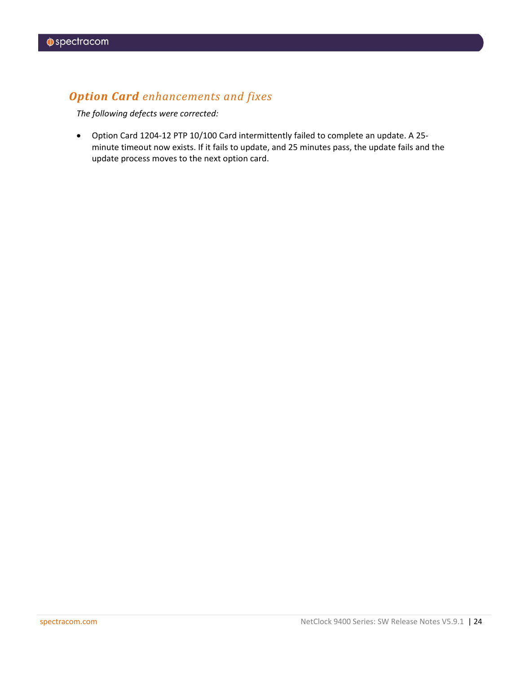## *Option Card enhancements and fixes*

*The following defects were corrected:*

• Option Card 1204-12 PTP 10/100 Card intermittently failed to complete an update. A 25 minute timeout now exists. If it fails to update, and 25 minutes pass, the update fails and the update process moves to the next option card.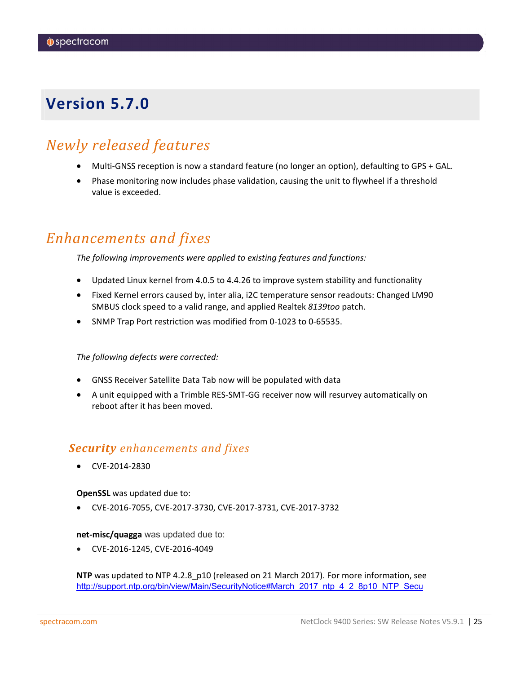# <span id="page-24-0"></span>*Newly released features*

- Multi-GNSS reception is now a standard feature (no longer an option), defaulting to GPS + GAL.
- Phase monitoring now includes phase validation, causing the unit to flywheel if a threshold value is exceeded.

# *Enhancements and fixes*

*The following improvements were applied to existing features and functions:*

- Updated Linux kernel from 4.0.5 to 4.4.26 to improve system stability and functionality
- Fixed Kernel errors caused by, inter alia, i2C temperature sensor readouts: Changed LM90 SMBUS clock speed to a valid range, and applied Realtek *8139too* patch.
- SNMP Trap Port restriction was modified from 0-1023 to 0-65535.

*The following defects were corrected:*

- GNSS Receiver Satellite Data Tab now will be populated with data
- A unit equipped with a Trimble RES-SMT-GG receiver now will resurvey automatically on reboot after it has been moved.

### *Security enhancements and fixes*

• CVE-2014-2830

### **OpenSSL** was updated due to:

• CVE-2016-7055, CVE-2017-3730, CVE-2017-3731, CVE-2017-3732

**net-misc/quagga** was updated due to:

• CVE-2016-1245, CVE-2016-4049

**NTP** was updated to NTP 4.2.8\_p10 (released on 21 March 2017). For more information, see [http://support.ntp.org/bin/view/Main/SecurityNotice#March\\_2017\\_ntp\\_4\\_2\\_8p10\\_NTP\\_Secu](http://support.ntp.org/bin/view/Main/SecurityNotice#March_2017_ntp_4_2_8p10_NTP_Secu)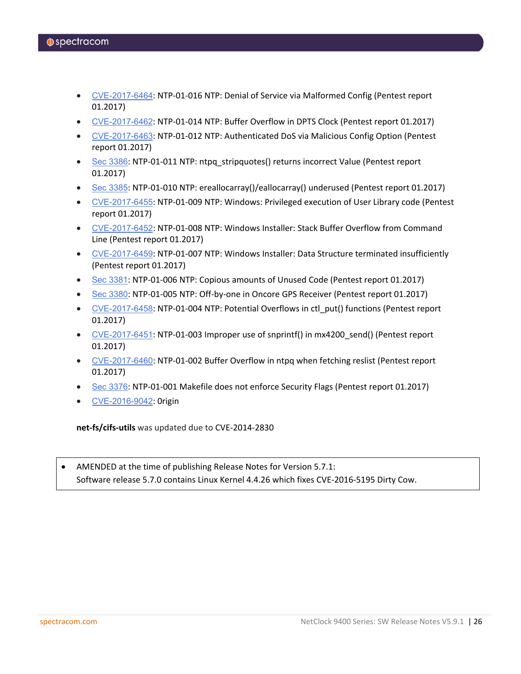- [CVE-2017-6464](http://web.nvd.nist.gov/view/vuln/detail?vulnId=CVE-2017-6464): NTP-01-016 NTP: Denial of Service via Malformed Config (Pentest report 01.2017)
- [CVE-2017-6462](http://web.nvd.nist.gov/view/vuln/detail?vulnId=CVE-2017-6462): NTP-01-014 NTP: Buffer Overflow in DPTS Clock (Pentest report 01.2017)
- [CVE-2017-6463](http://web.nvd.nist.gov/view/vuln/detail?vulnId=CVE-2017-6463): NTP-01-012 NTP: Authenticated DoS via Malicious Config Option (Pentest report 01.2017)
- Sec [3386](http://support.ntp.org/bin/view/Main/NtpBug3386): NTP-01-011 NTP: ntpg\_stripquotes() returns incorrect Value (Pentest report 01.2017)
- Sec [3385](http://support.ntp.org/bin/view/Main/NtpBug3385): NTP-01-010 NTP: ereallocarray()/eallocarray() underused (Pentest report 01.2017)
- [CVE-2017-6455](http://web.nvd.nist.gov/view/vuln/detail?vulnId=CVE-2017-6455): NTP-01-009 NTP: Windows: Privileged execution of User Library code (Pentest report 01.2017)
- [CVE-2017-6452](http://web.nvd.nist.gov/view/vuln/detail?vulnId=CVE-2017-6452): NTP-01-008 NTP: Windows Installer: Stack Buffer Overflow from Command Line (Pentest report 01.2017)
- [CVE-2017-6459](http://web.nvd.nist.gov/view/vuln/detail?vulnId=CVE-2017-6459): NTP-01-007 NTP: Windows Installer: Data Structure terminated insufficiently (Pentest report 01.2017)
- Sec [3381](http://support.ntp.org/bin/view/Main/NtpBug3381): NTP-01-006 NTP: Copious amounts of Unused Code (Pentest report 01.2017)
- Sec [3380](http://support.ntp.org/bin/view/Main/NtpBug3380): NTP-01-005 NTP: Off-by-one in Oncore GPS Receiver (Pentest report 01.2017)
- [CVE-2017-6458](http://web.nvd.nist.gov/view/vuln/detail?vulnId=CVE-2017-6458): NTP-01-004 NTP: Potential Overflows in ctl\_put() functions (Pentest report 01.2017)
- [CVE-2017-6451](http://web.nvd.nist.gov/view/vuln/detail?vulnId=CVE-2017-6451): NTP-01-003 Improper use of snprintf() in mx4200\_send() (Pentest report 01.2017)
- [CVE-2017-6460](http://web.nvd.nist.gov/view/vuln/detail?vulnId=CVE-2017-6460): NTP-01-002 Buffer Overflow in ntpq when fetching reslist (Pentest report 01.2017)
- Sec [3376](http://support.ntp.org/bin/view/Main/NtpBug3376): NTP-01-001 Makefile does not enforce Security Flags (Pentest report 01.2017)
- [CVE-2016-9042](http://web.nvd.nist.gov/view/vuln/detail?vulnId=CVE-2016-9042): 0rigin

**net-fs/cifs-utils** was updated due to CVE-2014-2830

AMENDED at the time of publishing Release Notes for Version 5.7.1: Software release 5.7.0 contains Linux Kernel 4.4.26 which fixes CVE-2016-5195 Dirty Cow.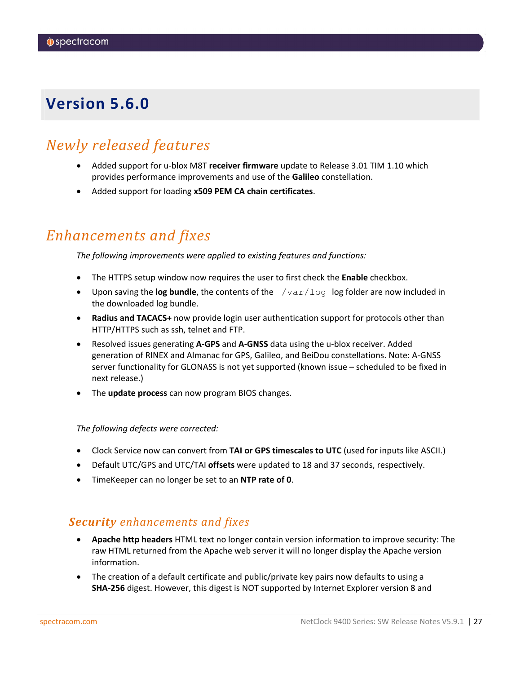# <span id="page-26-0"></span>*Newly released features*

- Added support for u-blox M8T **receiver firmware** update to Release 3.01 TIM 1.10 which provides performance improvements and use of the **Galileo** constellation.
- Added support for loading **x509 PEM CA chain certificates**.

# *Enhancements and fixes*

*The following improvements were applied to existing features and functions:*

- The HTTPS setup window now requires the user to first check the **Enable** checkbox.
- Upon saving the **log bundle**, the contents of the  $/var/log$  log folder are now included in the downloaded log bundle.
- **Radius and TACACS+** now provide login user authentication support for protocols other than HTTP/HTTPS such as ssh, telnet and FTP.
- Resolved issues generating **A-GPS** and **A-GNSS** data using the u-blox receiver. Added generation of RINEX and Almanac for GPS, Galileo, and BeiDou constellations. Note: A-GNSS server functionality for GLONASS is not yet supported (known issue – scheduled to be fixed in next release.)
- The **update process** can now program BIOS changes.

### *The following defects were corrected:*

- Clock Service now can convert from **TAI or GPS timescales to UTC** (used for inputs like ASCII.)
- Default UTC/GPS and UTC/TAI **offsets** were updated to 18 and 37 seconds, respectively.
- TimeKeeper can no longer be set to an **NTP rate of 0**.

### *Security enhancements and fixes*

- **Apache http headers** HTML text no longer contain version information to improve security: The raw HTML returned from the Apache web server it will no longer display the Apache version information.
- The creation of a default certificate and public/private key pairs now defaults to using a **SHA-256** digest. However, this digest is NOT supported by Internet Explorer version 8 and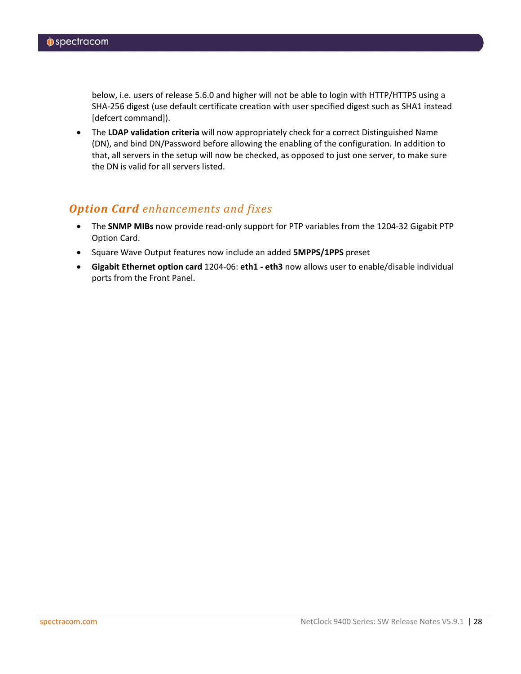below, i.e. users of release 5.6.0 and higher will not be able to login with HTTP/HTTPS using a SHA-256 digest (use default certificate creation with user specified digest such as SHA1 instead [defcert command]).

• The **LDAP validation criteria** will now appropriately check for a correct Distinguished Name (DN), and bind DN/Password before allowing the enabling of the configuration. In addition to that, all servers in the setup will now be checked, as opposed to just one server, to make sure the DN is valid for all servers listed.

## *Option Card enhancements and fixes*

- The **SNMP MIBs** now provide read-only support for PTP variables from the 1204-32 Gigabit PTP Option Card.
- Square Wave Output features now include an added **5MPPS/1PPS** preset
- **Gigabit Ethernet option card** 1204-06: **eth1 - eth3** now allows user to enable/disable individual ports from the Front Panel.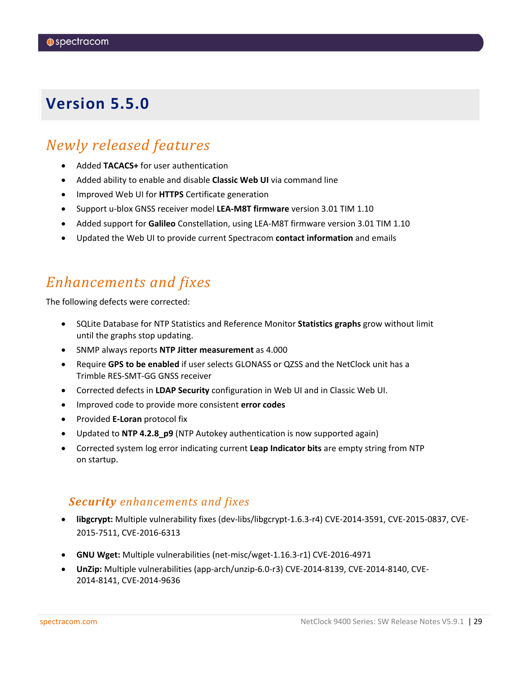# <span id="page-28-0"></span>*Newly released features*

- Added **TACACS+** for user authentication
- Added ability to enable and disable **Classic Web UI** via command line
- Improved Web UI for **HTTPS** Certificate generation
- Support u-blox GNSS receiver model **LEA-M8T firmware** version 3.01 TIM 1.10
- Added support for **Galileo** Constellation, using LEA-M8T firmware version 3.01 TIM 1.10
- Updated the Web UI to provide current Spectracom **contact information** and emails

# *Enhancements and fixes*

The following defects were corrected:

- SQLite Database for NTP Statistics and Reference Monitor **Statistics graphs** grow without limit until the graphs stop updating.
- SNMP always reports **NTP Jitter measurement** as 4.000
- Require **GPS to be enabled** if user selects GLONASS or QZSS and the NetClock unit has a Trimble RES-SMT-GG GNSS receiver
- Corrected defects in **LDAP Security** configuration in Web UI and in Classic Web UI.
- Improved code to provide more consistent **error codes**
- Provided **E-Loran** protocol fix
- Updated to **NTP 4.2.8\_p9** (NTP Autokey authentication is now supported again)
- Corrected system log error indicating current **Leap Indicator bits** are empty string from NTP on startup.

### *Security enhancements and fixes*

- **libgcrypt:** Multiple vulnerability fixes (dev-libs/libgcrypt-1.6.3-r4) CVE-2014-3591, CVE-2015-0837, CVE-2015-7511, CVE-2016-6313
- **GNU Wget:** Multiple vulnerabilities (net-misc/wget-1.16.3-r1) CVE-2016-4971
- **UnZip:** Multiple vulnerabilities (app-arch/unzip-6.0-r3) CVE-2014-8139, CVE-2014-8140, CVE-2014-8141, CVE-2014-9636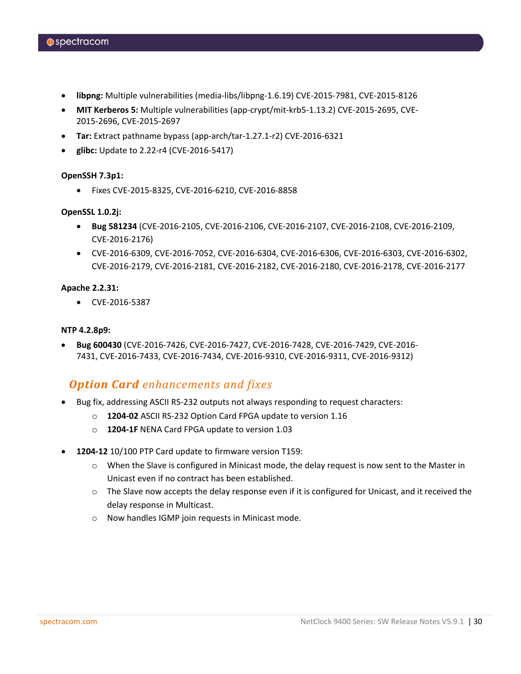- **libpng:** Multiple vulnerabilities (media-libs/libpng-1.6.19) CVE-2015-7981, CVE-2015-8126
- **MIT Kerberos 5:** Multiple vulnerabilities (app-crypt/mit-krb5-1.13.2) CVE-2015-2695, CVE-2015-2696, CVE-2015-2697
- **Tar:** Extract pathname bypass (app-arch/tar-1.27.1-r2) CVE-2016-6321
- **glibc:** Update to 2.22-r4 (CVE-2016-5417)

### **OpenSSH 7.3p1:**

• Fixes CVE-2015-8325, CVE-2016-6210, CVE-2016-8858

### **OpenSSL 1.0.2j:**

- **Bug 581234** (CVE-2016-2105, CVE-2016-2106, CVE-2016-2107, CVE-2016-2108, CVE-2016-2109, CVE-2016-2176)
- CVE-2016-6309, CVE-2016-7052, CVE-2016-6304, CVE-2016-6306, CVE-2016-6303, CVE-2016-6302, CVE-2016-2179, CVE-2016-2181, CVE-2016-2182, CVE-2016-2180, CVE-2016-2178, CVE-2016-2177

### **Apache 2.2.31:**

• CVE-2016-5387

### **NTP 4.2.8p9:**

• **Bug 600430** (CVE-2016-7426, CVE-2016-7427, CVE-2016-7428, CVE-2016-7429, CVE-2016- 7431, CVE-2016-7433, CVE-2016-7434, CVE-2016-9310, CVE-2016-9311, CVE-2016-9312)

### *Option Card enhancements and fixes*

- Bug fix, addressing ASCII RS-232 outputs not always responding to request characters:
	- o **1204-02** ASCII RS-232 Option Card FPGA update to version 1.16
	- o **1204-1F** NENA Card FPGA update to version 1.03
- **1204-12** 10/100 PTP Card update to firmware version T159:
	- o When the Slave is configured in Minicast mode, the delay request is now sent to the Master in Unicast even if no contract has been established.
	- $\circ$  The Slave now accepts the delay response even if it is configured for Unicast, and it received the delay response in Multicast.
	- o Now handles IGMP join requests in Minicast mode.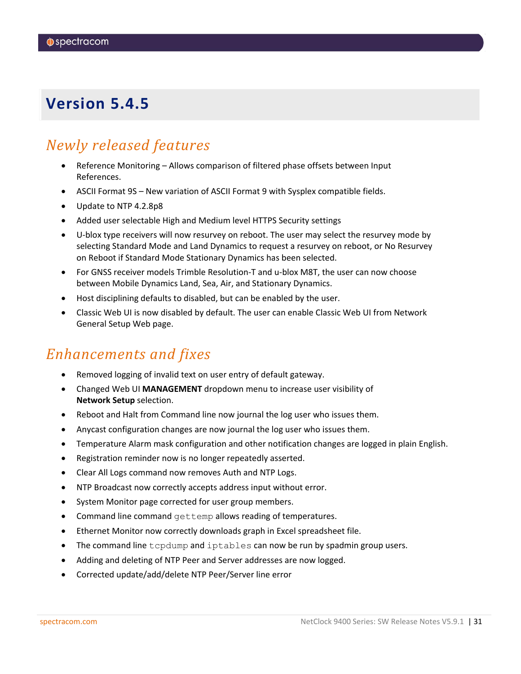# <span id="page-30-0"></span>*Newly released features*

- Reference Monitoring Allows comparison of filtered phase offsets between Input References.
- ASCII Format 9S New variation of ASCII Format 9 with Sysplex compatible fields.
- Update to NTP 4.2.8p8
- Added user selectable High and Medium level HTTPS Security settings
- U-blox type receivers will now resurvey on reboot. The user may select the resurvey mode by selecting Standard Mode and Land Dynamics to request a resurvey on reboot, or No Resurvey on Reboot if Standard Mode Stationary Dynamics has been selected.
- For GNSS receiver models Trimble Resolution-T and u-blox M8T, the user can now choose between Mobile Dynamics Land, Sea, Air, and Stationary Dynamics.
- Host disciplining defaults to disabled, but can be enabled by the user.
- Classic Web UI is now disabled by default. The user can enable Classic Web UI from Network General Setup Web page.

# *Enhancements and fixes*

- Removed logging of invalid text on user entry of default gateway.
- Changed Web UI **MANAGEMENT** dropdown menu to increase user visibility of **Network Setup** selection.
- Reboot and Halt from Command line now journal the log user who issues them.
- Anycast configuration changes are now journal the log user who issues them.
- Temperature Alarm mask configuration and other notification changes are logged in plain English.
- Registration reminder now is no longer repeatedly asserted.
- Clear All Logs command now removes Auth and NTP Logs.
- NTP Broadcast now correctly accepts address input without error.
- System Monitor page corrected for user group members.
- Command line command gettemp allows reading of temperatures.
- Ethernet Monitor now correctly downloads graph in Excel spreadsheet file.
- The command line tcpdump and iptables can now be run by spadmin group users.
- Adding and deleting of NTP Peer and Server addresses are now logged.
- Corrected update/add/delete NTP Peer/Server line error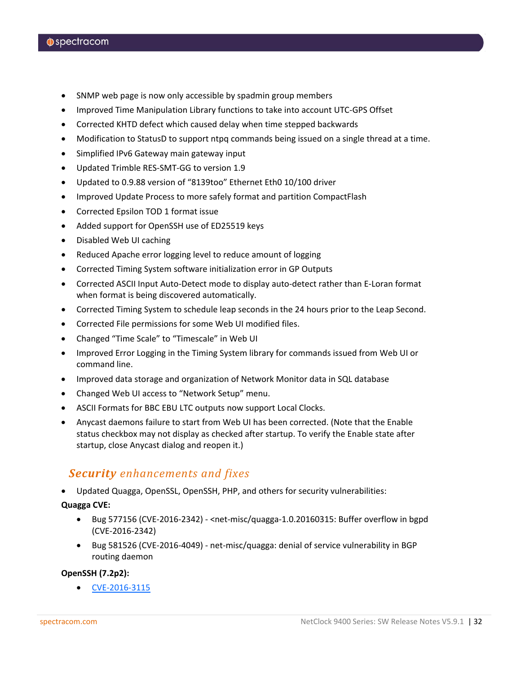- SNMP web page is now only accessible by spadmin group members
- Improved Time Manipulation Library functions to take into account UTC-GPS Offset
- Corrected KHTD defect which caused delay when time stepped backwards
- Modification to StatusD to support ntpq commands being issued on a single thread at a time.
- Simplified IPv6 Gateway main gateway input
- Updated Trimble RES-SMT-GG to version 1.9
- Updated to 0.9.88 version of "8139too" Ethernet Eth0 10/100 driver
- Improved Update Process to more safely format and partition CompactFlash
- Corrected Epsilon TOD 1 format issue
- Added support for OpenSSH use of ED25519 keys
- Disabled Web UI caching
- Reduced Apache error logging level to reduce amount of logging
- Corrected Timing System software initialization error in GP Outputs
- Corrected ASCII Input Auto-Detect mode to display auto-detect rather than E-Loran format when format is being discovered automatically.
- Corrected Timing System to schedule leap seconds in the 24 hours prior to the Leap Second.
- Corrected File permissions for some Web UI modified files.
- Changed "Time Scale" to "Timescale" in Web UI
- Improved Error Logging in the Timing System library for commands issued from Web UI or command line.
- Improved data storage and organization of Network Monitor data in SQL database
- Changed Web UI access to "Network Setup" menu.
- ASCII Formats for BBC EBU LTC outputs now support Local Clocks.
- Anycast daemons failure to start from Web UI has been corrected. (Note that the Enable status checkbox may not display as checked after startup. To verify the Enable state after startup, close Anycast dialog and reopen it.)

### *Security enhancements and fixes*

• Updated Quagga, OpenSSL, OpenSSH, PHP, and others for security vulnerabilities:

**Quagga CVE:**

- Bug 577156 (CVE-2016-2342) <net-misc/quagga-1.0.20160315: Buffer overflow in bgpd (CVE-2016-2342)
- Bug 581526 (CVE-2016-4049) net-misc/quagga: denial of service vulnerability in BGP routing daemon

### **OpenSSH (7.2p2):**

• [CVE-2016-3115](https://www.cvedetails.com/cve/CVE-2016-3115/)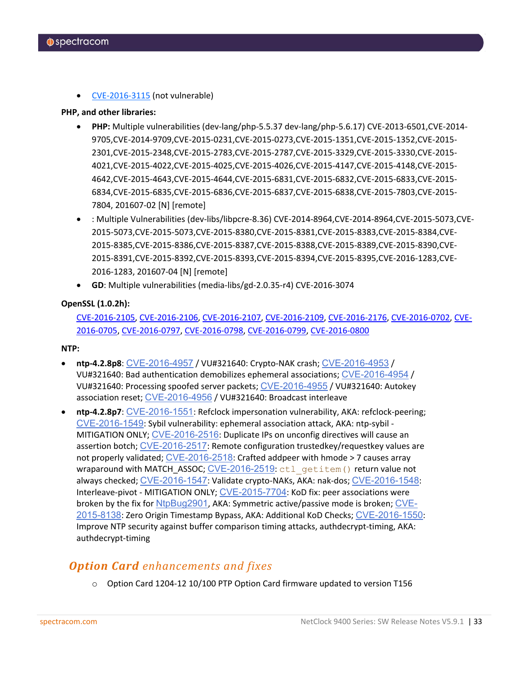• [CVE-2016-3115](https://www.cvedetails.com/cve/CVE-2016-3115/) (not vulnerable)

### **PHP, and other libraries:**

- **PHP:** Multiple vulnerabilities (dev-lang/php-5.5.37 dev-lang/php-5.6.17) CVE-2013-6501,CVE-2014- 9705,CVE-2014-9709,CVE-2015-0231,CVE-2015-0273,CVE-2015-1351,CVE-2015-1352,CVE-2015- 2301,CVE-2015-2348,CVE-2015-2783,CVE-2015-2787,CVE-2015-3329,CVE-2015-3330,CVE-2015- 4021,CVE-2015-4022,CVE-2015-4025,CVE-2015-4026,CVE-2015-4147,CVE-2015-4148,CVE-2015- 4642,CVE-2015-4643,CVE-2015-4644,CVE-2015-6831,CVE-2015-6832,CVE-2015-6833,CVE-2015- 6834,CVE-2015-6835,CVE-2015-6836,CVE-2015-6837,CVE-2015-6838,CVE-2015-7803,CVE-2015- 7804, 201607-02 [N] [remote]
- : Multiple Vulnerabilities (dev-libs/libpcre-8.36) CVE-2014-8964,CVE-2014-8964,CVE-2015-5073,CVE-2015-5073,CVE-2015-5073,CVE-2015-8380,CVE-2015-8381,CVE-2015-8383,CVE-2015-8384,CVE-2015-8385,CVE-2015-8386,CVE-2015-8387,CVE-2015-8388,CVE-2015-8389,CVE-2015-8390,CVE-2015-8391,CVE-2015-8392,CVE-2015-8393,CVE-2015-8394,CVE-2015-8395,CVE-2016-1283,CVE-2016-1283, 201607-04 [N] [remote]
- **GD**: Multiple vulnerabilities (media-libs/gd-2.0.35-r4) CVE-2016-3074

### **OpenSSL (1.0.2h):**

[CVE-2016-2105,](https://cve.mitre.org/cgi-bin/cvename.cgi?name=CVE-2016-2105) [CVE-2016-2106,](https://cve.mitre.org/cgi-bin/cvename.cgi?name=CVE-2016-2106) [CVE-2016-2107,](https://cve.mitre.org/cgi-bin/cvename.cgi?name=CVE-2016-2107) [CVE-2016-2109,](https://cve.mitre.org/cgi-bin/cvename.cgi?name=CVE-2016-2109) [CVE-2016-2176,](https://cve.mitre.org/cgi-bin/cvename.cgi?name=CVE-2016-2176) [CVE-2016-0702,](https://cve.mitre.org/cgi-bin/cvename.cgi?name=CVE-2016-0702) [CVE-](https://cve.mitre.org/cgi-bin/cvename.cgi?name=CVE-2016-0705)[2016-0705,](https://cve.mitre.org/cgi-bin/cvename.cgi?name=CVE-2016-0705) [CVE-2016-0797,](https://cve.mitre.org/cgi-bin/cvename.cgi?name=CVE-2016-0797) [CVE-2016-0798,](https://cve.mitre.org/cgi-bin/cvename.cgi?name=CVE-2016-0798) [CVE-2016-0799,](https://cve.mitre.org/cgi-bin/cvename.cgi?name=CVE-2016-0799) [CVE-2016-0800](https://cve.mitre.org/cgi-bin/cvename.cgi?name=CVE-2016-0800)

### **NTP:**

- **ntp-4.2.8p8**: [CVE-2016-4957](http://web.nvd.nist.gov/view/vuln/detail?vulnId=CVE-2016-4957) / VU#321640: Crypto-NAK crash; [CVE-2016-4953](http://web.nvd.nist.gov/view/vuln/detail?vulnId=CVE-2016-4953) / VU#321640: Bad authentication demobilizes ephemeral associations; [CVE-2016-4954](http://web.nvd.nist.gov/view/vuln/detail?vulnId=CVE-2016-4954) / VU#321640: Processing spoofed server packets; [CVE-2016-4955](http://web.nvd.nist.gov/view/vuln/detail?vulnId=CVE-2016-4955) / VU#321640: Autokey association reset; [CVE-2016-4956](http://web.nvd.nist.gov/view/vuln/detail?vulnId=CVE-2016-4956) / VU#321640: Broadcast interleave
- **ntp-4.2.8p7**: [CVE-2016-1551](http://web.nvd.nist.gov/view/vuln/detail?vulnId=CVE-2016-1551): Refclock impersonation vulnerability, AKA: refclock-peering; [CVE-2016-1549](http://web.nvd.nist.gov/view/vuln/detail?vulnId=CVE-2016-1549): Sybil vulnerability: ephemeral association attack, AKA: ntp-sybil - MITIGATION ONLY; [CVE-2016-2516](http://web.nvd.nist.gov/view/vuln/detail?vulnId=CVE-2016-2516): Duplicate IPs on unconfig directives will cause an assertion botch; [CVE-2016-2517](http://web.nvd.nist.gov/view/vuln/detail?vulnId=CVE-2016-2517): Remote configuration trustedkey/requestkey values are not properly validated; [CVE-2016-2518](http://web.nvd.nist.gov/view/vuln/detail?vulnId=CVE-2016-2518): Crafted addpeer with hmode > 7 causes array wraparound with MATCH\_ASSOC; [CVE-2016-2519](http://web.nvd.nist.gov/view/vuln/detail?vulnId=CVE-2016-2519): ctl\_getitem() return value not always checked; [CVE-2016-1547](http://web.nvd.nist.gov/view/vuln/detail?vulnId=CVE-2016-1547): Validate crypto-NAKs, AKA: nak-dos; [CVE-2016-1548](http://web.nvd.nist.gov/view/vuln/detail?vulnId=CVE-2016-1548): Interleave-pivot - MITIGATION ONLY; [CVE-2015-7704](http://web.nvd.nist.gov/view/vuln/detail?vulnId=CVE-2015-7704): KoD fix: peer associations were broken by the fix for [NtpBug2901](http://support.ntp.org/bin/view/Main/NtpBug2901), AKA: Symmetric active/passive mode is broken; [CVE-](http://web.nvd.nist.gov/view/vuln/detail?vulnId=CVE-2015-8138)[2015-8138](http://web.nvd.nist.gov/view/vuln/detail?vulnId=CVE-2015-8138): Zero Origin Timestamp Bypass, AKA: Additional KoD Checks; [CVE-2016-1550](http://web.nvd.nist.gov/view/vuln/detail?vulnId=CVE-2016-1550): Improve NTP security against buffer comparison timing attacks, authdecrypt-timing, AKA: authdecrypt-timing

## *Option Card enhancements and fixes*

o Option Card 1204-12 10/100 PTP Option Card firmware updated to version T156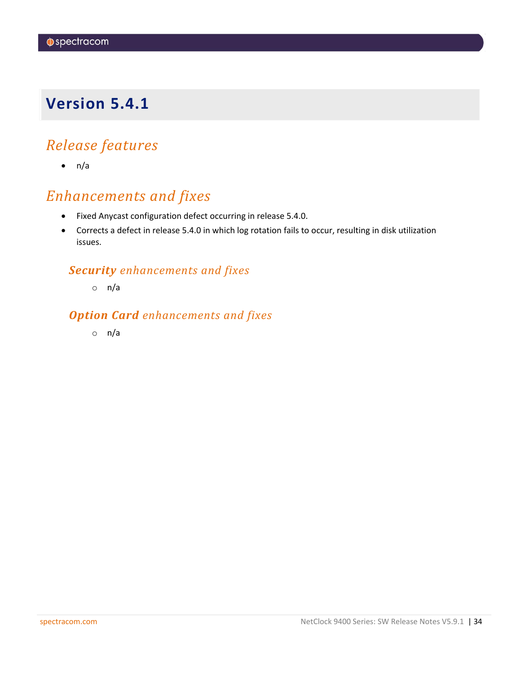# <span id="page-33-0"></span>*Release features*

 $\bullet$  n/a

# *Enhancements and fixes*

- Fixed Anycast configuration defect occurring in release 5.4.0.
- Corrects a defect in release 5.4.0 in which log rotation fails to occur, resulting in disk utilization issues.

## *Security enhancements and fixes*

o n/a

## *Option Card enhancements and fixes*

o n/a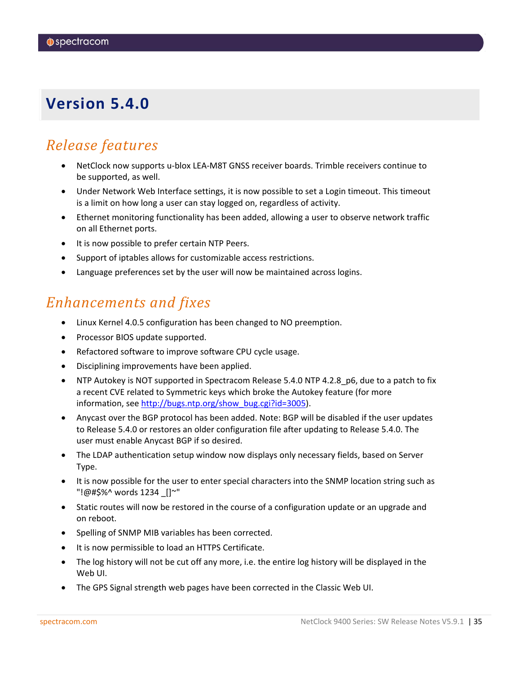# <span id="page-34-0"></span>*Release features*

- NetClock now supports u-blox LEA-M8T GNSS receiver boards. Trimble receivers continue to be supported, as well.
- Under Network Web Interface settings, it is now possible to set a Login timeout. This timeout is a limit on how long a user can stay logged on, regardless of activity.
- Ethernet monitoring functionality has been added, allowing a user to observe network traffic on all Ethernet ports.
- It is now possible to prefer certain NTP Peers.
- Support of iptables allows for customizable access restrictions.
- Language preferences set by the user will now be maintained across logins.

## *Enhancements and fixes*

- Linux Kernel 4.0.5 configuration has been changed to NO preemption.
- Processor BIOS update supported.
- Refactored software to improve software CPU cycle usage.
- Disciplining improvements have been applied.
- NTP Autokey is NOT supported in Spectracom Release 5.4.0 NTP 4.2.8\_p6, due to a patch to fix a recent CVE related to Symmetric keys which broke the Autokey feature (for more information, see [http://bugs.ntp.org/show\\_bug.cgi?id=3005\)](http://bugs.ntp.org/show_bug.cgi?id=3005).
- Anycast over the BGP protocol has been added. Note: BGP will be disabled if the user updates to Release 5.4.0 or restores an older configuration file after updating to Release 5.4.0. The user must enable Anycast BGP if so desired.
- The LDAP authentication setup window now displays only necessary fields, based on Server Type.
- It is now possible for the user to enter special characters into the SNMP location string such as "!@#\$%^ words 1234 \_[]~"
- Static routes will now be restored in the course of a configuration update or an upgrade and on reboot.
- Spelling of SNMP MIB variables has been corrected.
- It is now permissible to load an HTTPS Certificate.
- The log history will not be cut off any more, i.e. the entire log history will be displayed in the Web UI.
- The GPS Signal strength web pages have been corrected in the Classic Web UI.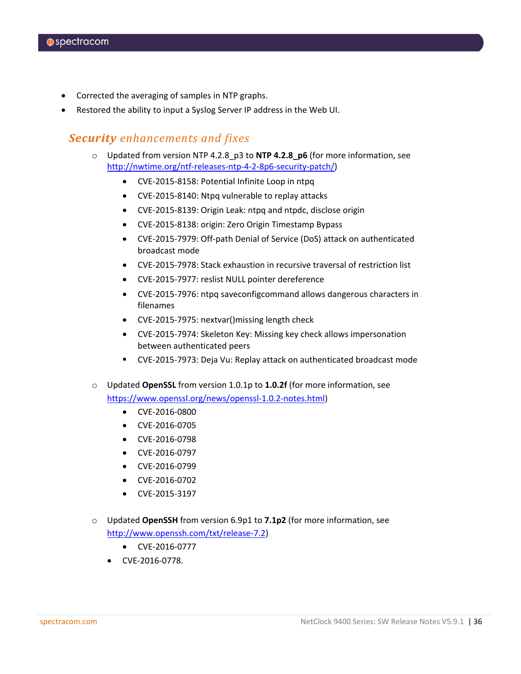- Corrected the averaging of samples in NTP graphs.
- Restored the ability to input a Syslog Server IP address in the Web UI.

### *Security enhancements and fixes*

- o Updated from version NTP 4.2.8\_p3 to **NTP 4.2.8\_p6** (for more information, see [http://nwtime.org/ntf-releases-ntp-4-2-8p6-security-patch/\)](http://nwtime.org/ntf-releases-ntp-4-2-8p6-security-patch/)
	- CVE-2015-8158: Potential Infinite Loop in ntpq
	- CVE-2015-8140: Ntpq vulnerable to replay attacks
	- CVE-2015-8139: Origin Leak: ntpq and ntpdc, disclose origin
	- CVE-2015-8138: origin: Zero Origin Timestamp Bypass
	- CVE-2015-7979: Off-path Denial of Service (DoS) attack on authenticated broadcast mode
	- CVE-2015-7978: Stack exhaustion in recursive traversal of restriction list
	- CVE-2015-7977: reslist NULL pointer dereference
	- CVE-2015-7976: ntpq saveconfigcommand allows dangerous characters in filenames
	- CVE-2015-7975: nextvar()missing length check
	- CVE-2015-7974: Skeleton Key: Missing key check allows impersonation between authenticated peers
	- CVE-2015-7973: Deja Vu: Replay attack on authenticated broadcast mode
- o Updated **OpenSSL** from version 1.0.1p to **1.0.2f** (for more information, see [https://www.openssl.org/news/openssl-1.0.2-notes.html\)](https://www.openssl.org/news/openssl-1.0.2-notes.html)
	- CVE-2016-0800
	- CVE-2016-0705
	- CVE-2016-0798
	- CVE-2016-0797
	- CVE-2016-0799
	- CVE-2016-0702
	- CVE-2015-3197
- o Updated **OpenSSH** from version 6.9p1 to **7.1p2** (for more information, see [http://www.openssh.com/txt/release-7.2\)](http://www.openssh.com/txt/release-7.2)
	- CVE-2016-0777
	- CVE-2016-0778.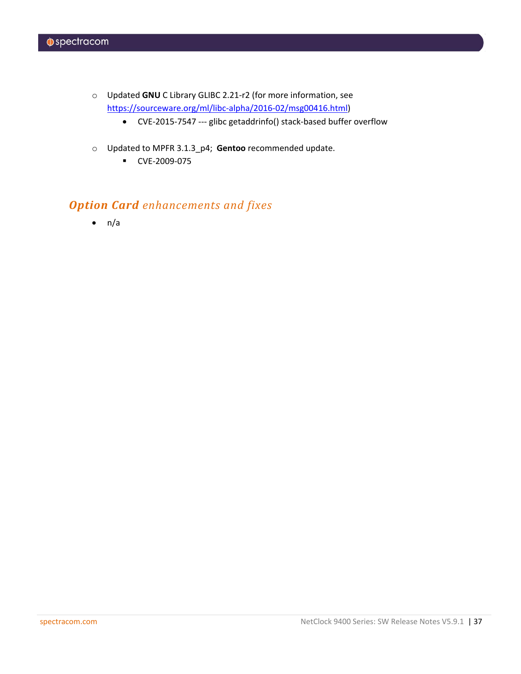- o Updated **GNU** C Library GLIBC 2.21-r2 (for more information, see [https://sourceware.org/ml/libc-alpha/2016-02/msg00416.html\)](https://sourceware.org/ml/libc-alpha/2016-02/msg00416.html)
	- CVE-2015-7547 --- glibc getaddrinfo() stack-based buffer overflow
- o Updated to MPFR 3.1.3\_p4; **Gentoo** recommended update.
	- CVE-2009-075

## *Option Card enhancements and fixes*

 $\bullet$  n/a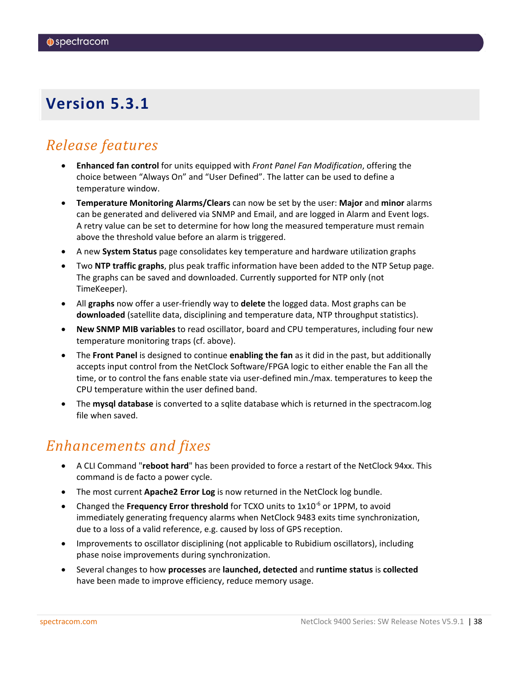# <span id="page-37-0"></span>*Release features*

- **Enhanced fan control** for units equipped with *Front Panel Fan Modification*, offering the choice between "Always On" and "User Defined". The latter can be used to define a temperature window.
- **Temperature Monitoring Alarms/Clears** can now be set by the user: **Major** and **minor** alarms can be generated and delivered via SNMP and Email, and are logged in Alarm and Event logs. A retry value can be set to determine for how long the measured temperature must remain above the threshold value before an alarm is triggered.
- A new **System Status** page consolidates key temperature and hardware utilization graphs
- Two **NTP traffic graphs**, plus peak traffic information have been added to the NTP Setup page. The graphs can be saved and downloaded. Currently supported for NTP only (not TimeKeeper).
- All **graphs** now offer a user-friendly way to **delete** the logged data. Most graphs can be **downloaded** (satellite data, disciplining and temperature data, NTP throughput statistics).
- **New SNMP MIB variables** to read oscillator, board and CPU temperatures, including four new temperature monitoring traps (cf. above).
- The **Front Panel** is designed to continue **enabling the fan** as it did in the past, but additionally accepts input control from the NetClock Software/FPGA logic to either enable the Fan all the time, or to control the fans enable state via user-defined min./max. temperatures to keep the CPU temperature within the user defined band.
- The **mysql database** is converted to a sqlite database which is returned in the spectracom.log file when saved.

# *Enhancements and fixes*

- A CLI Command "**reboot hard**" has been provided to force a restart of the NetClock 94xx. This command is de facto a power cycle.
- The most current **Apache2 Error Log** is now returned in the NetClock log bundle.
- Changed the **Frequency Error threshold** for TCXO units to 1x10<sup>-6</sup> or 1PPM, to avoid immediately generating frequency alarms when NetClock 9483 exits time synchronization, due to a loss of a valid reference, e.g. caused by loss of GPS reception.
- Improvements to oscillator disciplining (not applicable to Rubidium oscillators), including phase noise improvements during synchronization.
- Several changes to how **processes** are **launched, detected** and **runtime status** is **collected** have been made to improve efficiency, reduce memory usage.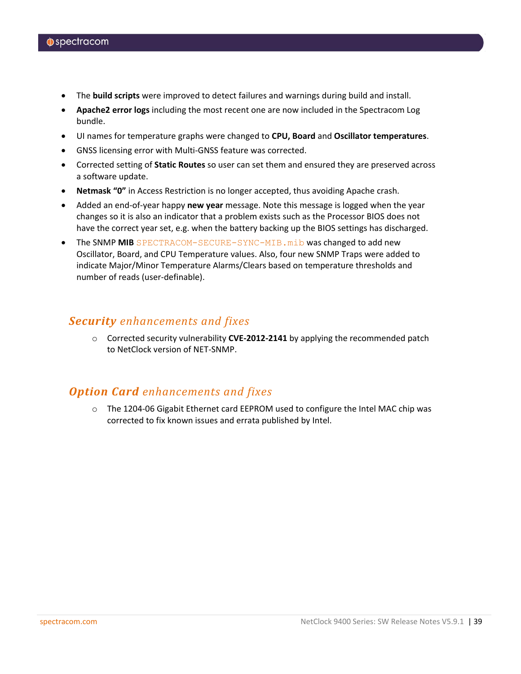- The **build scripts** were improved to detect failures and warnings during build and install.
- **Apache2 error logs** including the most recent one are now included in the Spectracom Log bundle.
- UI names for temperature graphs were changed to **CPU, Board** and **Oscillator temperatures**.
- GNSS licensing error with Multi-GNSS feature was corrected.
- Corrected setting of **Static Routes** so user can set them and ensured they are preserved across a software update.
- **Netmask "0"** in Access Restriction is no longer accepted, thus avoiding Apache crash.
- Added an end-of-year happy **new year** message. Note this message is logged when the year changes so it is also an indicator that a problem exists such as the Processor BIOS does not have the correct year set, e.g. when the battery backing up the BIOS settings has discharged.
- The SNMP **MIB** SPECTRACOM-SECURE-SYNC-MIB.mib was changed to add new Oscillator, Board, and CPU Temperature values. Also, four new SNMP Traps were added to indicate Major/Minor Temperature Alarms/Clears based on temperature thresholds and number of reads (user-definable).

### *Security enhancements and fixes*

o Corrected security vulnerability **CVE-2012-2141** by applying the recommended patch to NetClock version of NET-SNMP.

## *Option Card enhancements and fixes*

o The 1204-06 Gigabit Ethernet card EEPROM used to configure the Intel MAC chip was corrected to fix known issues and errata published by Intel.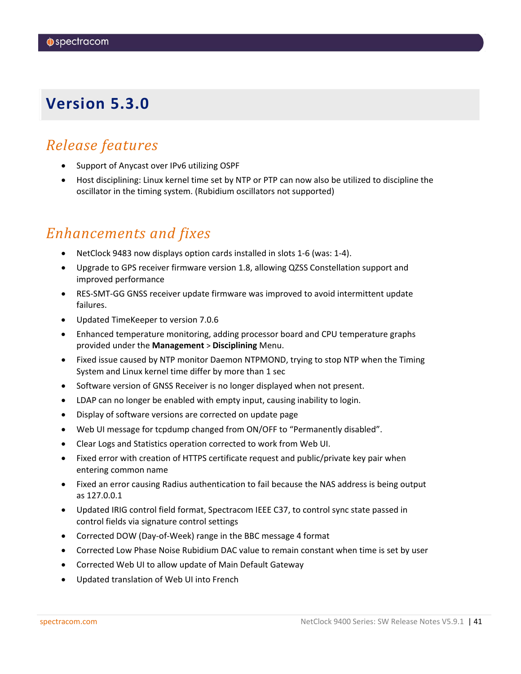# <span id="page-40-0"></span>*Release features*

- Support of Anycast over IPv6 utilizing OSPF
- Host disciplining: Linux kernel time set by NTP or PTP can now also be utilized to discipline the oscillator in the timing system. (Rubidium oscillators not supported)

# *Enhancements and fixes*

- NetClock 9483 now displays option cards installed in slots 1-6 (was: 1-4).
- Upgrade to GPS receiver firmware version 1.8, allowing QZSS Constellation support and improved performance
- RES-SMT-GG GNSS receiver update firmware was improved to avoid intermittent update failures.
- Updated TimeKeeper to version 7.0.6
- Enhanced temperature monitoring, adding processor board and CPU temperature graphs provided under the **Management** > **Disciplining** Menu.
- Fixed issue caused by NTP monitor Daemon NTPMOND, trying to stop NTP when the Timing System and Linux kernel time differ by more than 1 sec
- Software version of GNSS Receiver is no longer displayed when not present.
- LDAP can no longer be enabled with empty input, causing inability to login.
- Display of software versions are corrected on update page
- Web UI message for tcpdump changed from ON/OFF to "Permanently disabled".
- Clear Logs and Statistics operation corrected to work from Web UI.
- Fixed error with creation of HTTPS certificate request and public/private key pair when entering common name
- Fixed an error causing Radius authentication to fail because the NAS address is being output as 127.0.0.1
- Updated IRIG control field format, Spectracom IEEE C37, to control sync state passed in control fields via signature control settings
- Corrected DOW (Day-of-Week) range in the BBC message 4 format
- Corrected Low Phase Noise Rubidium DAC value to remain constant when time is set by user
- Corrected Web UI to allow update of Main Default Gateway
- Updated translation of Web UI into French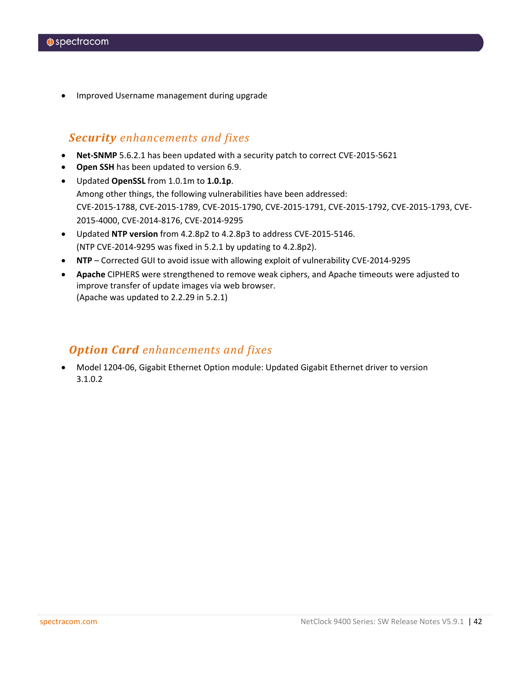• Improved Username management during upgrade

### *Security enhancements and fixes*

- **Net-SNMP** 5.6.2.1 has been updated with a security patch to correct CVE-2015-5621
- **Open SSH** has been updated to version 6.9.
- Updated **OpenSSL** from 1.0.1m to **1.0.1p**. Among other things, the following vulnerabilities have been addressed: CVE-2015-1788, CVE-2015-1789, CVE-2015-1790, CVE-2015-1791, CVE-2015-1792, CVE-2015-1793, CVE-2015-4000, CVE-2014-8176, CVE-2014-9295
- Updated **NTP version** from 4.2.8p2 to 4.2.8p3 to address CVE-2015-5146. (NTP CVE-2014-9295 was fixed in 5.2.1 by updating to 4.2.8p2).
- **NTP** Corrected GUI to avoid issue with allowing exploit of vulnerability CVE-2014-9295
- **Apache** CIPHERS were strengthened to remove weak ciphers, and Apache timeouts were adjusted to improve transfer of update images via web browser. (Apache was updated to 2.2.29 in 5.2.1)

## *Option Card enhancements and fixes*

• Model 1204-06, Gigabit Ethernet Option module: Updated Gigabit Ethernet driver to version 3.1.0.2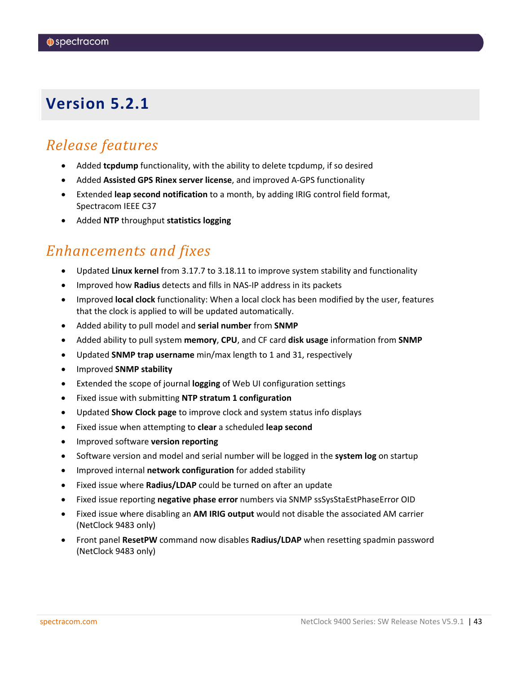# <span id="page-42-0"></span>*Release features*

- Added **tcpdump** functionality, with the ability to delete tcpdump, if so desired
- Added **Assisted GPS Rinex server license**, and improved A-GPS functionality
- Extended **leap second notification** to a month, by adding IRIG control field format, Spectracom IEEE C37
- Added **NTP** throughput **statistics logging**

# *Enhancements and fixes*

- Updated **Linux kernel** from 3.17.7 to 3.18.11 to improve system stability and functionality
- Improved how **Radius** detects and fills in NAS-IP address in its packets
- Improved **local clock** functionality: When a local clock has been modified by the user, features that the clock is applied to will be updated automatically.
- Added ability to pull model and **serial number** from **SNMP**
- Added ability to pull system **memory**, **CPU**, and CF card **disk usage** information from **SNMP**
- Updated **SNMP trap username** min/max length to 1 and 31, respectively
- Improved **SNMP stability**
- Extended the scope of journal **logging** of Web UI configuration settings
- Fixed issue with submitting **NTP stratum 1 configuration**
- Updated **Show Clock page** to improve clock and system status info displays
- Fixed issue when attempting to **clear** a scheduled **leap second**
- Improved software **version reporting**
- Software version and model and serial number will be logged in the **system log** on startup
- Improved internal **network configuration** for added stability
- Fixed issue where **Radius/LDAP** could be turned on after an update
- Fixed issue reporting **negative phase error** numbers via SNMP ssSysStaEstPhaseError OID
- Fixed issue where disabling an **AM IRIG output** would not disable the associated AM carrier (NetClock 9483 only)
- Front panel **ResetPW** command now disables **Radius/LDAP** when resetting spadmin password (NetClock 9483 only)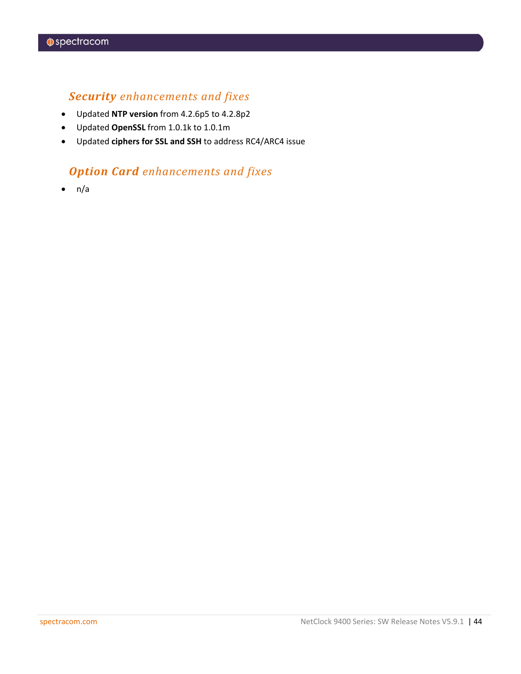## *Security enhancements and fixes*

- Updated **NTP version** from 4.2.6p5 to 4.2.8p2
- Updated **OpenSSL** from 1.0.1k to 1.0.1m
- Updated **ciphers for SSL and SSH** to address RC4/ARC4 issue

## *Option Card enhancements and fixes*

 $\bullet$  n/a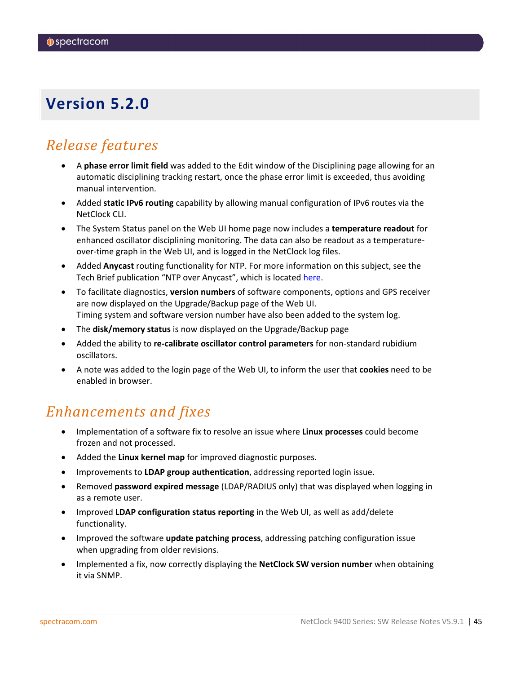# <span id="page-44-0"></span>*Release features*

- A **phase error limit field** was added to the Edit window of the Disciplining page allowing for an automatic disciplining tracking restart, once the phase error limit is exceeded, thus avoiding manual intervention.
- Added **static IPv6 routing** capability by allowing manual configuration of IPv6 routes via the NetClock CLI.
- The System Status panel on the Web UI home page now includes a **temperature readout** for enhanced oscillator disciplining monitoring. The data can also be readout as a temperatureover-time graph in the Web UI, and is logged in the NetClock log files.
- Added **Anycast** routing functionality for NTP. For more information on this subject, see the Tech Brief publication "NTP over Anycast", which is located [here.](http://www.spectracomcorp.com/Support/HowCanWeHelpYou/Library/tabid/59/Default.aspx?EntryId=1684)
- To facilitate diagnostics, **version numbers** of software components, options and GPS receiver are now displayed on the Upgrade/Backup page of the Web UI. Timing system and software version number have also been added to the system log.
- The **disk/memory status** is now displayed on the Upgrade/Backup page
- Added the ability to **re-calibrate oscillator control parameters** for non-standard rubidium oscillators.
- A note was added to the login page of the Web UI, to inform the user that **cookies** need to be enabled in browser.

# *Enhancements and fixes*

- Implementation of a software fix to resolve an issue where **Linux processes** could become frozen and not processed.
- Added the **Linux kernel map** for improved diagnostic purposes.
- Improvements to **LDAP group authentication**, addressing reported login issue.
- Removed **password expired message** (LDAP/RADIUS only) that was displayed when logging in as a remote user.
- Improved **LDAP configuration status reporting** in the Web UI, as well as add/delete functionality.
- Improved the software **update patching process**, addressing patching configuration issue when upgrading from older revisions.
- Implemented a fix, now correctly displaying the **NetClock SW version number** when obtaining it via SNMP.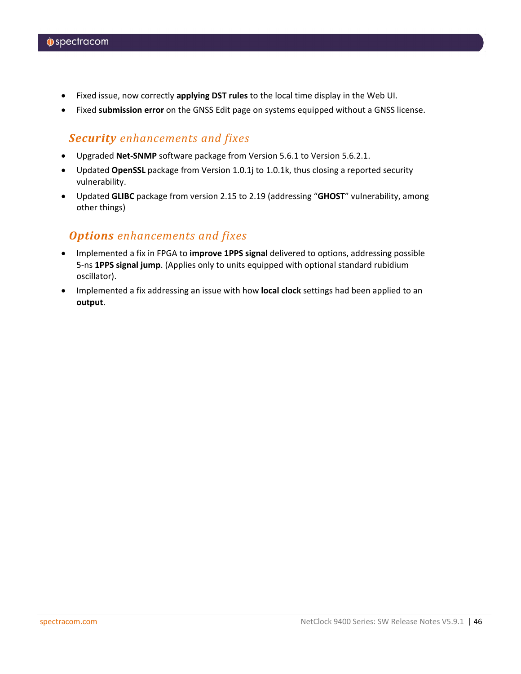- Fixed issue, now correctly **applying DST rules** to the local time display in the Web UI.
- Fixed **submission error** on the GNSS Edit page on systems equipped without a GNSS license.

## *Security enhancements and fixes*

- Upgraded **Net-SNMP** software package from Version 5.6.1 to Version 5.6.2.1.
- Updated **OpenSSL** package from Version 1.0.1j to 1.0.1k, thus closing a reported security vulnerability.
- Updated **GLIBC** package from version 2.15 to 2.19 (addressing "**GHOST**" vulnerability, among other things)

### *Options enhancements and fixes*

- Implemented a fix in FPGA to **improve 1PPS signal** delivered to options, addressing possible 5-ns **1PPS signal jump**. (Applies only to units equipped with optional standard rubidium oscillator).
- Implemented a fix addressing an issue with how **local clock** settings had been applied to an **output**.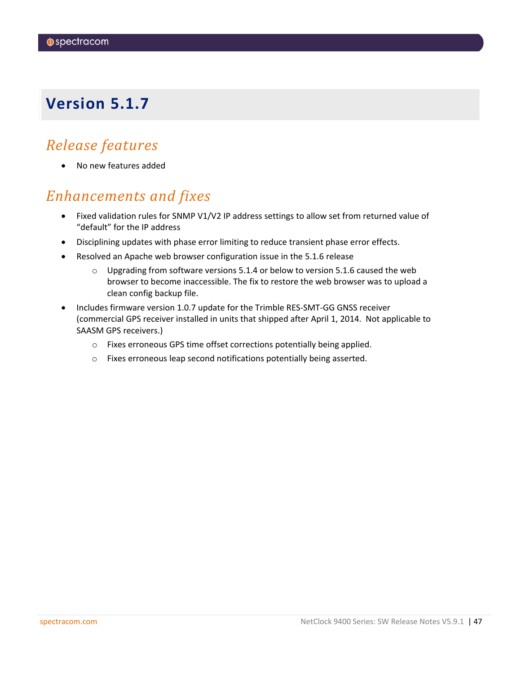# <span id="page-46-0"></span>*Release features*

• No new features added

# *Enhancements and fixes*

- Fixed validation rules for SNMP V1/V2 IP address settings to allow set from returned value of "default" for the IP address
- Disciplining updates with phase error limiting to reduce transient phase error effects.
- Resolved an Apache web browser configuration issue in the 5.1.6 release
	- $\circ$  Upgrading from software versions 5.1.4 or below to version 5.1.6 caused the web browser to become inaccessible. The fix to restore the web browser was to upload a clean config backup file.
- Includes firmware version 1.0.7 update for the Trimble RES-SMT-GG GNSS receiver (commercial GPS receiver installed in units that shipped after April 1, 2014. Not applicable to SAASM GPS receivers.)
	- o Fixes erroneous GPS time offset corrections potentially being applied.
	- o Fixes erroneous leap second notifications potentially being asserted.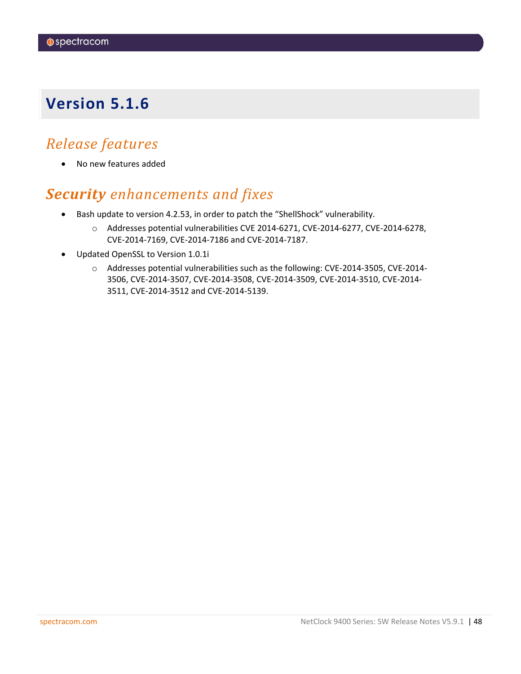# <span id="page-47-0"></span>*Release features*

• No new features added

# *Security enhancements and fixes*

- Bash update to version 4.2.53, in order to patch the "ShellShock" vulnerability.
	- o Addresses potential vulnerabilities CVE 2014-6271, CVE-2014-6277, CVE-2014-6278, CVE-2014-7169, CVE-2014-7186 and CVE-2014-7187.
- Updated OpenSSL to Version 1.0.1i
	- o Addresses potential vulnerabilities such as the following: CVE-2014-3505, CVE-2014- 3506, CVE-2014-3507, CVE-2014-3508, CVE-2014-3509, CVE-2014-3510, CVE-2014- 3511, CVE-2014-3512 and CVE-2014-5139.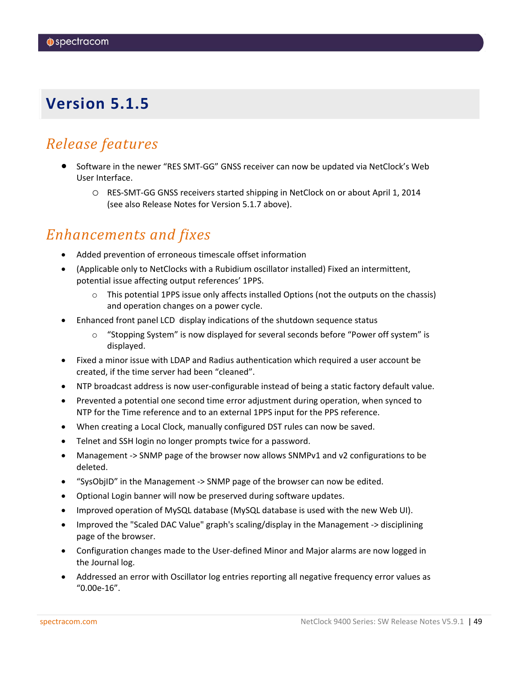# <span id="page-48-0"></span>*Release features*

- Software in the newer "RES SMT-GG" GNSS receiver can now be updated via NetClock's Web User Interface.
	- o RES-SMT-GG GNSS receivers started shipping in NetClock on or about April 1, 2014 (see also Release Notes for Version 5.1.7 above).

# *Enhancements and fixes*

- Added prevention of erroneous timescale offset information
- (Applicable only to NetClocks with a Rubidium oscillator installed) Fixed an intermittent, potential issue affecting output references' 1PPS.
	- $\circ$  This potential 1PPS issue only affects installed Options (not the outputs on the chassis) and operation changes on a power cycle.
- Enhanced front panel LCD display indications of the shutdown sequence status
	- "Stopping System" is now displayed for several seconds before "Power off system" is displayed.
- Fixed a minor issue with LDAP and Radius authentication which required a user account be created, if the time server had been "cleaned".
- NTP broadcast address is now user-configurable instead of being a static factory default value.
- Prevented a potential one second time error adjustment during operation, when synced to NTP for the Time reference and to an external 1PPS input for the PPS reference.
- When creating a Local Clock, manually configured DST rules can now be saved.
- Telnet and SSH login no longer prompts twice for a password.
- Management -> SNMP page of the browser now allows SNMPv1 and v2 configurations to be deleted.
- "SysObjID" in the Management -> SNMP page of the browser can now be edited.
- Optional Login banner will now be preserved during software updates.
- Improved operation of MySQL database (MySQL database is used with the new Web UI).
- Improved the "Scaled DAC Value" graph's scaling/display in the Management -> disciplining page of the browser.
- Configuration changes made to the User-defined Minor and Major alarms are now logged in the Journal log.
- Addressed an error with Oscillator log entries reporting all negative frequency error values as "0.00e-16".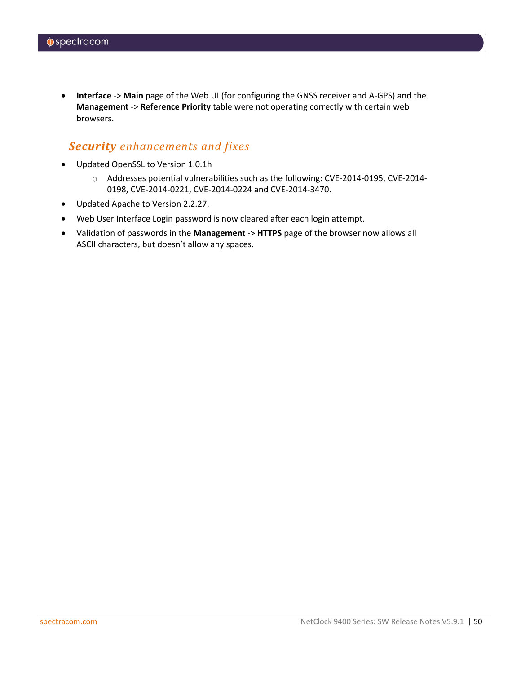• **Interface** -> **Main** page of the Web UI (for configuring the GNSS receiver and A-GPS) and the **Management** -> **Reference Priority** table were not operating correctly with certain web browsers.

### *Security enhancements and fixes*

- Updated OpenSSL to Version 1.0.1h
	- o Addresses potential vulnerabilities such as the following: CVE-2014-0195, CVE-2014- 0198, CVE-2014-0221, CVE-2014-0224 and CVE-2014-3470.
- Updated Apache to Version 2.2.27.
- Web User Interface Login password is now cleared after each login attempt.
- Validation of passwords in the **Management** -> **HTTPS** page of the browser now allows all ASCII characters, but doesn't allow any spaces.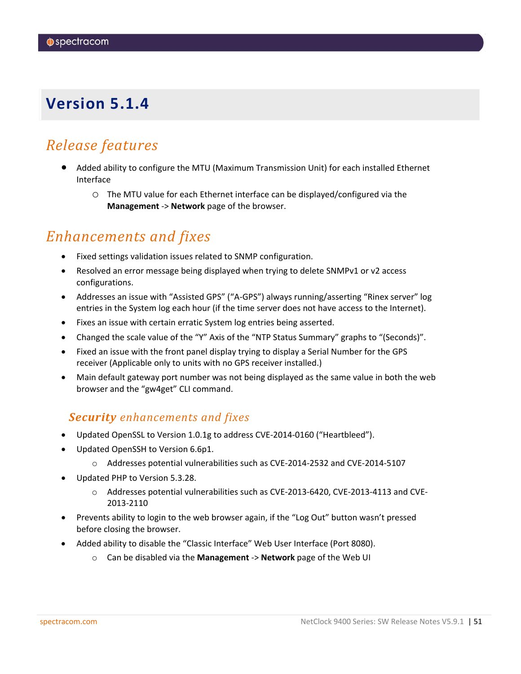# <span id="page-50-0"></span>*Release features*

- Added ability to configure the MTU (Maximum Transmission Unit) for each installed Ethernet Interface
	- o The MTU value for each Ethernet interface can be displayed/configured via the **Management** -> **Network** page of the browser.

# *Enhancements and fixes*

- Fixed settings validation issues related to SNMP configuration.
- Resolved an error message being displayed when trying to delete SNMPv1 or v2 access configurations.
- Addresses an issue with "Assisted GPS" ("A-GPS") always running/asserting "Rinex server" log entries in the System log each hour (if the time server does not have access to the Internet).
- Fixes an issue with certain erratic System log entries being asserted.
- Changed the scale value of the "Y" Axis of the "NTP Status Summary" graphs to "(Seconds)".
- Fixed an issue with the front panel display trying to display a Serial Number for the GPS receiver (Applicable only to units with no GPS receiver installed.)
- Main default gateway port number was not being displayed as the same value in both the web browser and the "gw4get" CLI command.

## *Security enhancements and fixes*

- Updated OpenSSL to Version 1.0.1g to address CVE-2014-0160 ("Heartbleed").
- Updated OpenSSH to Version 6.6p1.
	- o Addresses potential vulnerabilities such as CVE-2014-2532 and CVE-2014-5107
- Updated PHP to Version 5.3.28.
	- o Addresses potential vulnerabilities such as CVE-2013-6420, CVE-2013-4113 and CVE-2013-2110
- Prevents ability to login to the web browser again, if the "Log Out" button wasn't pressed before closing the browser.
- Added ability to disable the "Classic Interface" Web User Interface (Port 8080).
	- o Can be disabled via the **Management** -> **Network** page of the Web UI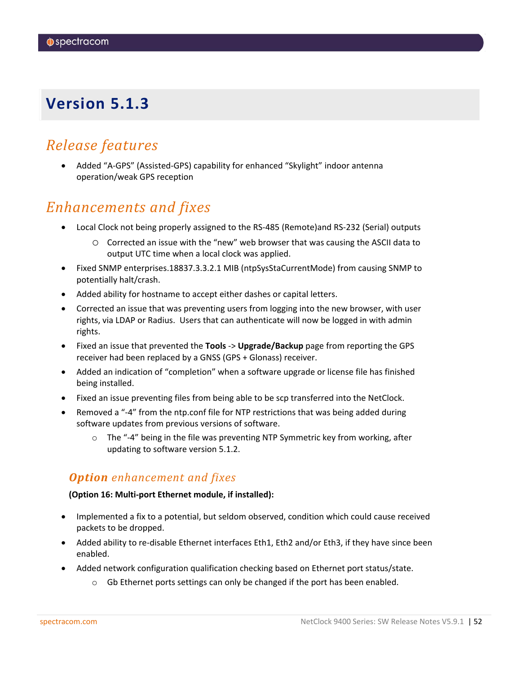# <span id="page-51-0"></span>*Release features*

• Added "A-GPS" (Assisted-GPS) capability for enhanced "Skylight" indoor antenna operation/weak GPS reception

## *Enhancements and fixes*

- Local Clock not being properly assigned to the RS-485 (Remote)and RS-232 (Serial) outputs
	- o Corrected an issue with the "new" web browser that was causing the ASCII data to output UTC time when a local clock was applied.
- Fixed SNMP enterprises.18837.3.3.2.1 MIB (ntpSysStaCurrentMode) from causing SNMP to potentially halt/crash.
- Added ability for hostname to accept either dashes or capital letters.
- Corrected an issue that was preventing users from logging into the new browser, with user rights, via LDAP or Radius. Users that can authenticate will now be logged in with admin rights.
- Fixed an issue that prevented the **Tools** -> **Upgrade/Backup** page from reporting the GPS receiver had been replaced by a GNSS (GPS + Glonass) receiver.
- Added an indication of "completion" when a software upgrade or license file has finished being installed.
- Fixed an issue preventing files from being able to be scp transferred into the NetClock.
- Removed a "-4" from the ntp.conf file for NTP restrictions that was being added during software updates from previous versions of software.
	- $\circ$  The "-4" being in the file was preventing NTP Symmetric key from working, after updating to software version 5.1.2.

## *Option enhancement and fixes*

### **(Option 16: Multi-port Ethernet module, if installed):**

- Implemented a fix to a potential, but seldom observed, condition which could cause received packets to be dropped.
- Added ability to re-disable Ethernet interfaces Eth1, Eth2 and/or Eth3, if they have since been enabled.
- Added network configuration qualification checking based on Ethernet port status/state.
	- $\circ$  Gb Ethernet ports settings can only be changed if the port has been enabled.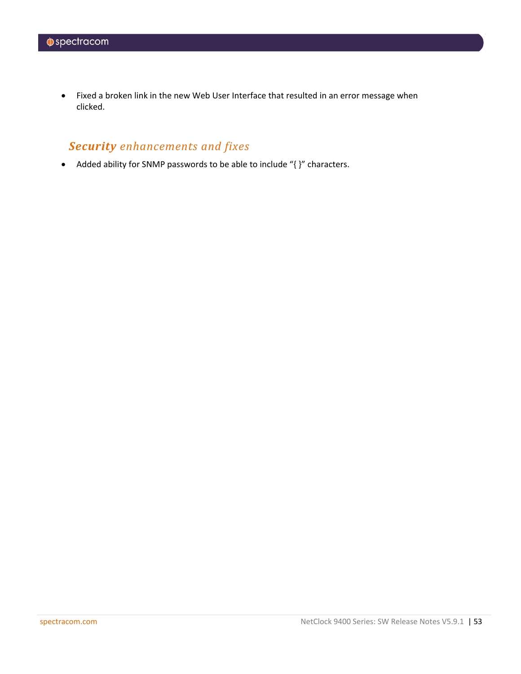• Fixed a broken link in the new Web User Interface that resulted in an error message when clicked.

## *Security enhancements and fixes*

• Added ability for SNMP passwords to be able to include "{ }" characters.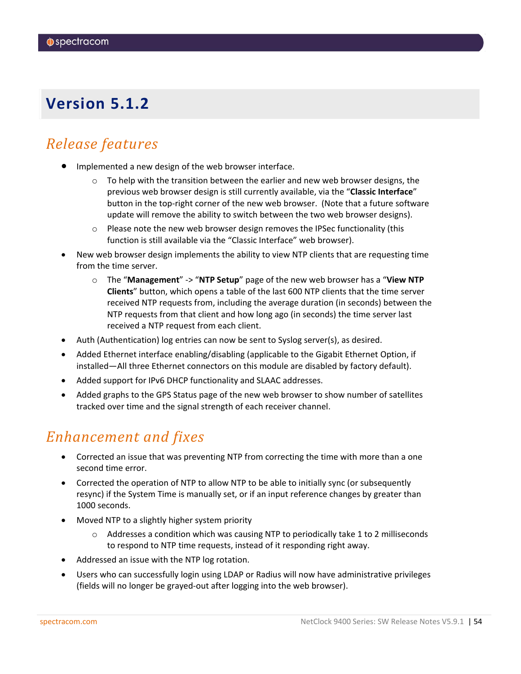# <span id="page-53-0"></span>*Release features*

- Implemented a new design of the web browser interface.
	- $\circ$  To help with the transition between the earlier and new web browser designs, the previous web browser design is still currently available, via the "**Classic Interface**" button in the top-right corner of the new web browser. (Note that a future software update will remove the ability to switch between the two web browser designs).
	- $\circ$  Please note the new web browser design removes the IPSec functionality (this function is still available via the "Classic Interface" web browser).
- New web browser design implements the ability to view NTP clients that are requesting time from the time server.
	- o The "**Management**" -> "**NTP Setup**" page of the new web browser has a "**View NTP Clients**" button, which opens a table of the last 600 NTP clients that the time server received NTP requests from, including the average duration (in seconds) between the NTP requests from that client and how long ago (in seconds) the time server last received a NTP request from each client.
- Auth (Authentication) log entries can now be sent to Syslog server(s), as desired.
- Added Ethernet interface enabling/disabling (applicable to the Gigabit Ethernet Option, if installed—All three Ethernet connectors on this module are disabled by factory default).
- Added support for IPv6 DHCP functionality and SLAAC addresses.
- Added graphs to the GPS Status page of the new web browser to show number of satellites tracked over time and the signal strength of each receiver channel.

# *Enhancement and fixes*

- Corrected an issue that was preventing NTP from correcting the time with more than a one second time error.
- Corrected the operation of NTP to allow NTP to be able to initially sync (or subsequently resync) if the System Time is manually set, or if an input reference changes by greater than 1000 seconds.
- Moved NTP to a slightly higher system priority
	- $\circ$  Addresses a condition which was causing NTP to periodically take 1 to 2 milliseconds to respond to NTP time requests, instead of it responding right away.
- Addressed an issue with the NTP log rotation.
- Users who can successfully login using LDAP or Radius will now have administrative privileges (fields will no longer be grayed-out after logging into the web browser).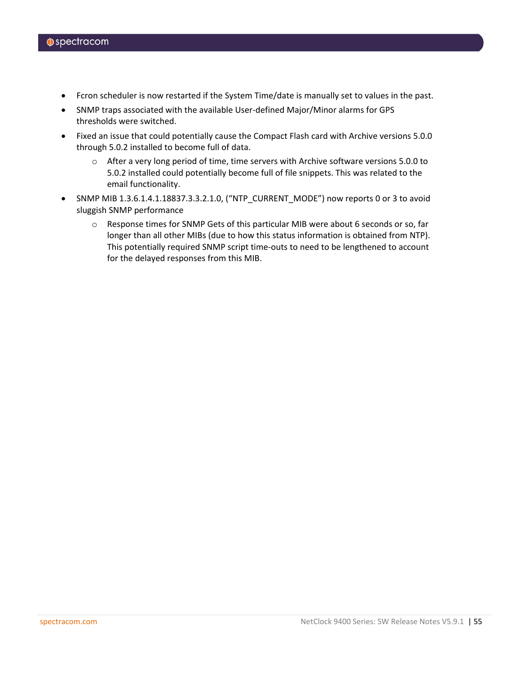- Fcron scheduler is now restarted if the System Time/date is manually set to values in the past.
- SNMP traps associated with the available User-defined Major/Minor alarms for GPS thresholds were switched.
- Fixed an issue that could potentially cause the Compact Flash card with Archive versions 5.0.0 through 5.0.2 installed to become full of data.
	- o After a very long period of time, time servers with Archive software versions 5.0.0 to 5.0.2 installed could potentially become full of file snippets. This was related to the email functionality.
- SNMP MIB 1.3.6.1.4.1.18837.3.3.2.1.0, ("NTP\_CURRENT\_MODE") now reports 0 or 3 to avoid sluggish SNMP performance
	- o Response times for SNMP Gets of this particular MIB were about 6 seconds or so, far longer than all other MIBs (due to how this status information is obtained from NTP). This potentially required SNMP script time-outs to need to be lengthened to account for the delayed responses from this MIB.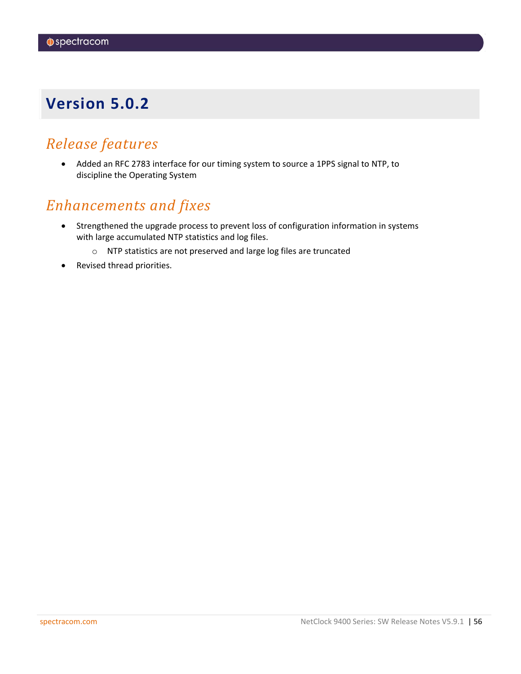# <span id="page-55-0"></span>*Release features*

• Added an RFC 2783 interface for our timing system to source a 1PPS signal to NTP, to discipline the Operating System

# *Enhancements and fixes*

- Strengthened the upgrade process to prevent loss of configuration information in systems with large accumulated NTP statistics and log files.
	- o NTP statistics are not preserved and large log files are truncated
- Revised thread priorities.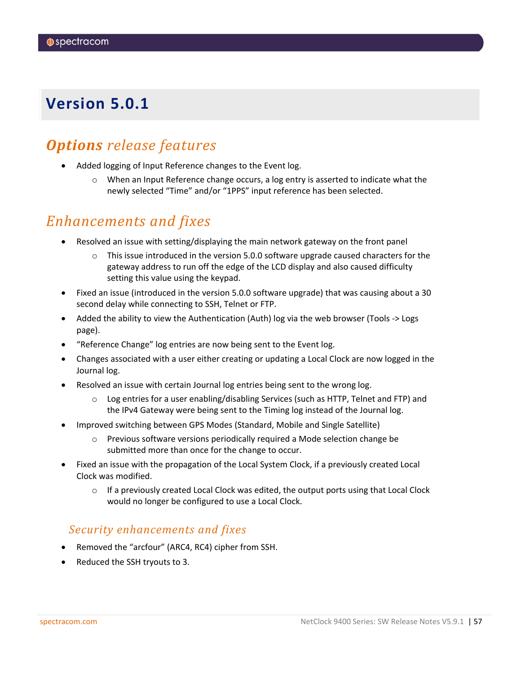# <span id="page-56-0"></span>*Options release features*

- Added logging of Input Reference changes to the Event log.
	- $\circ$  When an Input Reference change occurs, a log entry is asserted to indicate what the newly selected "Time" and/or "1PPS" input reference has been selected.

# *Enhancements and fixes*

- Resolved an issue with setting/displaying the main network gateway on the front panel
	- $\circ$  This issue introduced in the version 5.0.0 software upgrade caused characters for the gateway address to run off the edge of the LCD display and also caused difficulty setting this value using the keypad.
- Fixed an issue (introduced in the version 5.0.0 software upgrade) that was causing about a 30 second delay while connecting to SSH, Telnet or FTP.
- Added the ability to view the Authentication (Auth) log via the web browser (Tools -> Logs page).
- "Reference Change" log entries are now being sent to the Event log.
- Changes associated with a user either creating or updating a Local Clock are now logged in the Journal log.
- Resolved an issue with certain Journal log entries being sent to the wrong log.
	- $\circ$  Log entries for a user enabling/disabling Services (such as HTTP, Telnet and FTP) and the IPv4 Gateway were being sent to the Timing log instead of the Journal log.
- Improved switching between GPS Modes (Standard, Mobile and Single Satellite)
	- o Previous software versions periodically required a Mode selection change be submitted more than once for the change to occur.
- Fixed an issue with the propagation of the Local System Clock, if a previously created Local Clock was modified.
	- $\circ$  If a previously created Local Clock was edited, the output ports using that Local Clock would no longer be configured to use a Local Clock.

### *Security enhancements and fixes*

- Removed the "arcfour" (ARC4, RC4) cipher from SSH.
- Reduced the SSH tryouts to 3.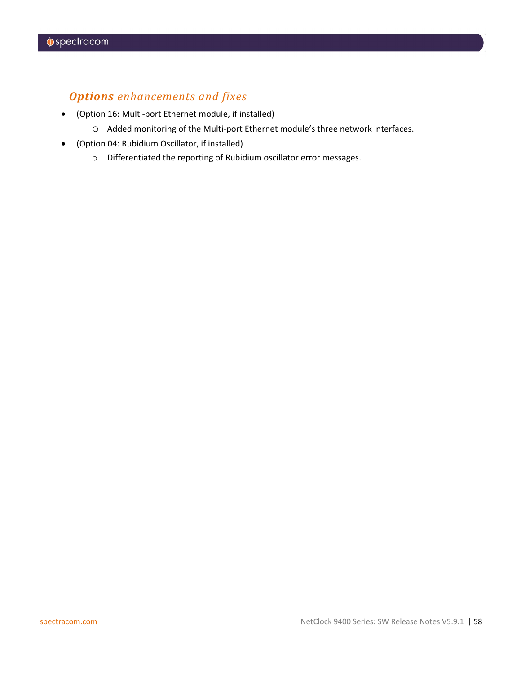## *Options enhancements and fixes*

- (Option 16: Multi-port Ethernet module, if installed)
	- o Added monitoring of the Multi-port Ethernet module's three network interfaces.
- (Option 04: Rubidium Oscillator, if installed)
	- o Differentiated the reporting of Rubidium oscillator error messages.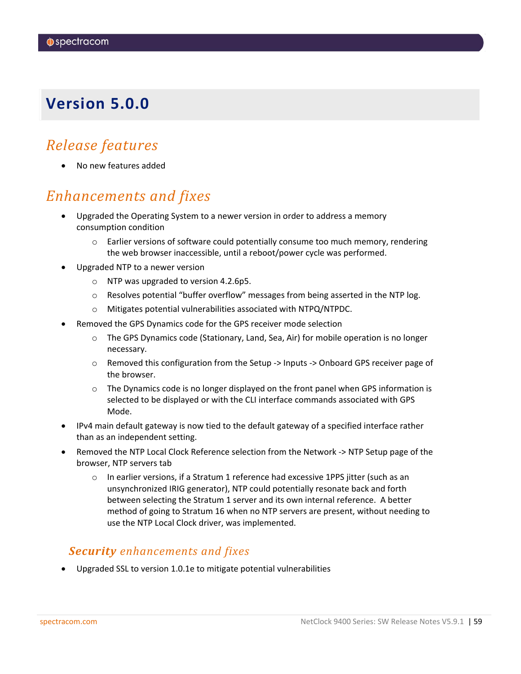# <span id="page-58-0"></span>*Release features*

• No new features added

# *Enhancements and fixes*

- Upgraded the Operating System to a newer version in order to address a memory consumption condition
	- $\circ$  Earlier versions of software could potentially consume too much memory, rendering the web browser inaccessible, until a reboot/power cycle was performed.
- Upgraded NTP to a newer version
	- o NTP was upgraded to version 4.2.6p5.
	- $\circ$  Resolves potential "buffer overflow" messages from being asserted in the NTP log.
	- o Mitigates potential vulnerabilities associated with NTPQ/NTPDC.
- Removed the GPS Dynamics code for the GPS receiver mode selection
	- o The GPS Dynamics code (Stationary, Land, Sea, Air) for mobile operation is no longer necessary.
	- o Removed this configuration from the Setup -> Inputs -> Onboard GPS receiver page of the browser.
	- $\circ$  The Dynamics code is no longer displayed on the front panel when GPS information is selected to be displayed or with the CLI interface commands associated with GPS Mode.
- IPv4 main default gateway is now tied to the default gateway of a specified interface rather than as an independent setting.
- Removed the NTP Local Clock Reference selection from the Network -> NTP Setup page of the browser, NTP servers tab
	- o In earlier versions, if a Stratum 1 reference had excessive 1PPS jitter (such as an unsynchronized IRIG generator), NTP could potentially resonate back and forth between selecting the Stratum 1 server and its own internal reference. A better method of going to Stratum 16 when no NTP servers are present, without needing to use the NTP Local Clock driver, was implemented.

### *Security enhancements and fixes*

• Upgraded SSL to version 1.0.1e to mitigate potential vulnerabilities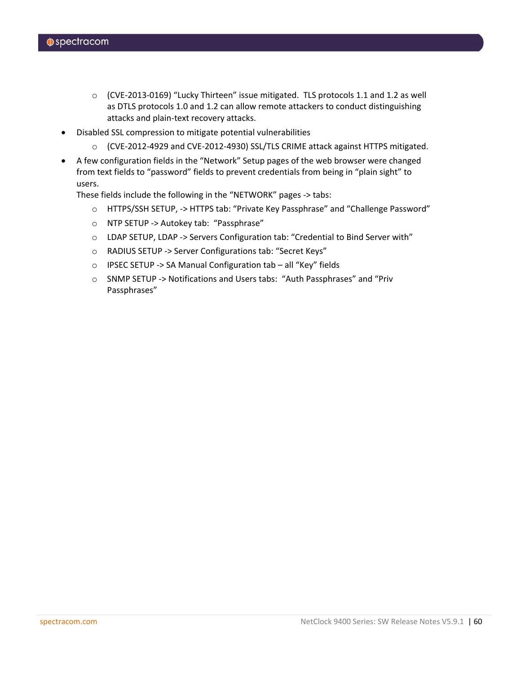- o (CVE-2013-0169) "Lucky Thirteen" issue mitigated. TLS protocols 1.1 and 1.2 as well as DTLS protocols 1.0 and 1.2 can allow remote attackers to conduct distinguishing attacks and plain-text recovery attacks.
- Disabled SSL compression to mitigate potential vulnerabilities
	- o (CVE-2012-4929 and CVE-2012-4930) SSL/TLS CRIME attack against HTTPS mitigated.
- A few configuration fields in the "Network" Setup pages of the web browser were changed from text fields to "password" fields to prevent credentials from being in "plain sight" to users.

These fields include the following in the "NETWORK" pages -> tabs:

- o HTTPS/SSH SETUP, -> HTTPS tab: "Private Key Passphrase" and "Challenge Password"
- o NTP SETUP -> Autokey tab: "Passphrase"
- o LDAP SETUP, LDAP -> Servers Configuration tab: "Credential to Bind Server with"
- o RADIUS SETUP -> Server Configurations tab: "Secret Keys"
- o IPSEC SETUP -> SA Manual Configuration tab all "Key" fields
- o SNMP SETUP -> Notifications and Users tabs: "Auth Passphrases" and "Priv Passphrases"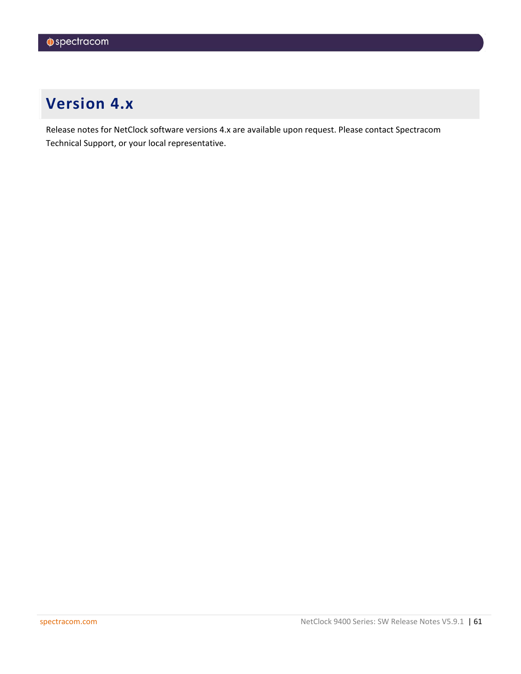# <span id="page-60-0"></span>**Version 4.x**

Release notes for NetClock software versions 4.x are available upon request. Please contact Spectracom Technical Support, or your local representative.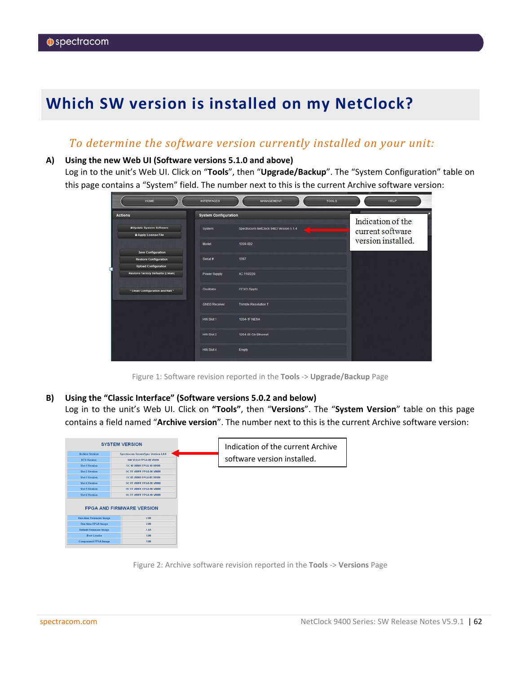# <span id="page-61-0"></span>**Which SW version is installed on my NetClock?**

### *To determine the software version currently installed on your unit:*

### **A) Using the new Web UI (Software versions 5.1.0 and above)**

Log in to the unit's Web UI. Click on "**Tools**", then "**Upgrade/Backup**". The "System Configuration" table on this page contains a "System" field. The number next to this is the current Archive software version:

| <b>HOME</b>                                                    | <b>INTERFACES</b>           | <b>MANAGEMENT</b>                      | <b>TOOLS</b> | <b>HELP</b>        |
|----------------------------------------------------------------|-----------------------------|----------------------------------------|--------------|--------------------|
| <b>Actions</b>                                                 | <b>System Configuration</b> |                                        |              | Indication of the  |
| <b>B</b> Update System Software<br><b>B</b> Apply License File | System                      | Spectracom NetClock 9483 Version 5.1.4 |              | current software   |
| <b>Save Configuration</b>                                      | Model                       | 1209-002                               |              | version installed. |
| <b>Restore Configuration</b><br><b>Upload Configuration</b>    | Serial #                    | 1397                                   |              |                    |
| <b>Restore Factory Defaults (Clean)</b>                        | Power Supply                | AC 110/220                             |              |                    |
| * Clean Configuration and Halt *                               | Oscillator                  | OCXO (5ppb)                            |              |                    |
|                                                                | <b>GNSS Receiver</b>        | <b>Trimble Resolution T</b>            |              |                    |
|                                                                | HW Slot 1                   | <b>1204-1F NENA</b>                    |              |                    |
|                                                                | HW Slot 2                   | 1204-06 Gb Ethernet                    |              |                    |
|                                                                | HW Slot 4                   | Empty                                  |              |                    |
|                                                                |                             |                                        |              |                    |

Figure 1: Software revision reported in the **Tools** -> **Upgrade/Backup** Page

### **B) Using the "Classic Interface" (Software versions 5.0.2 and below)**

Log in to the unit's Web UI. Click on **"Tools"**, then "**Versions**". The "**System Version**" table on this page contains a field named "**Archive version**". The number next to this is the current Archive software version:

|                                | <b>SYSTEM VERSION</b>                      | Indication of the current Archive |
|--------------------------------|--------------------------------------------|-----------------------------------|
| <b>Archive Version</b>         | <b>Spectracom SecureSync Version 4.0.0</b> |                                   |
| <b>KTS Version</b>             | SW V2.0.0 FPGA 00 V0100                    | software version installed.       |
| <b>Slot 1 Version</b>          | OC 10 V0001 FPGA 10 V0100                  |                                   |
| <b>Slot 2 Version</b>          | OC FF V00FF FPGA 00 V0000                  |                                   |
| <b>Slot 3 Version</b>          | OC 05 V0001 FPGA 05 V0100                  |                                   |
| <b>Slot 4 Version</b>          | OC FF V00FF FPGA 00 V0000                  |                                   |
| <b>Slot 5 Version</b>          | OC FF V00FF FPGA 00 V0000                  |                                   |
| <b>Slot 6 Version</b>          | OC FF V00FF FPGA 00 V0000                  |                                   |
|                                | <b>FPGA AND FIRMWARE VERSION</b>           |                                   |
| <b>Run-time Firmware Image</b> | 2.00                                       |                                   |
| <b>Run-time FPGA Image</b>     | 2.00                                       |                                   |
| <b>Default Firmware Image</b>  | 1.4A                                       |                                   |
| <b>Boot Loader</b>             | 1.00                                       |                                   |
| <b>Compressed FPGA Image</b>   | 1.00                                       |                                   |
|                                |                                            |                                   |

Figure 2: Archive software revision reported in the **Tools** -> **Versions** Page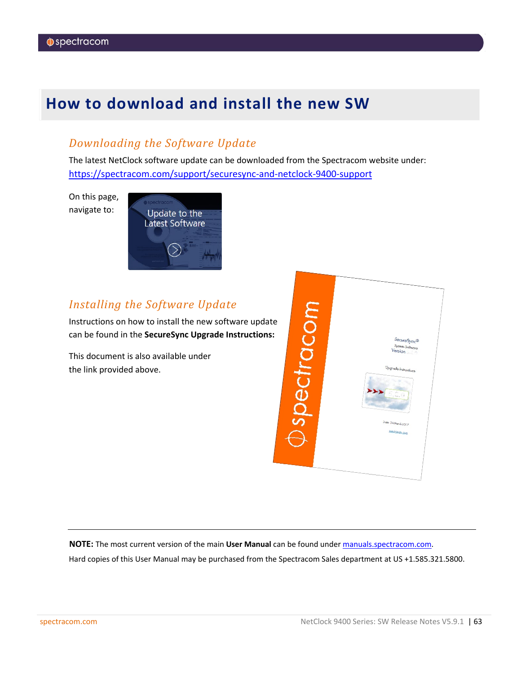# <span id="page-62-0"></span>**How to download and install the new SW**

## *Downloading the Software Update*

The latest NetClock software update can be downloaded from the Spectracom website under: <https://spectracom.com/support/securesync-and-netclock-9400-support>

On this page, navigate to:



## *Installing the Software Update*

Instructions on how to install the new software update can be found in the **SecureSync Upgrade Instructions:**

This document is also available under the link provided above.



**NOTE:** The most current version of the main **User Manual** can be found under [manuals.spectracom.com.](http://manuals.spectracom.com/)

Hard copies of this User Manual may be purchased from the Spectracom Sales department at US +1.585.321.5800.